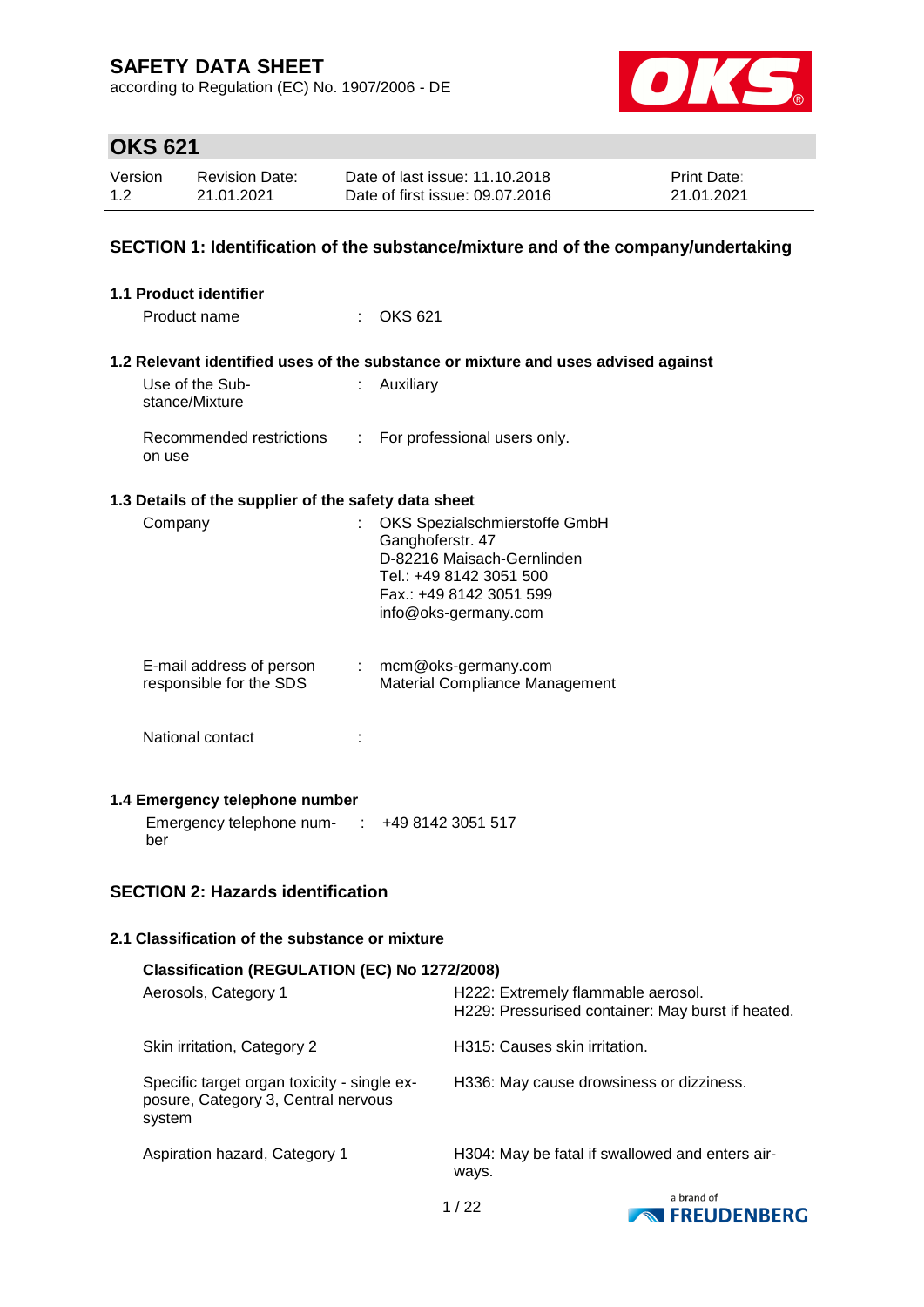according to Regulation (EC) No. 1907/2006 - DE



# **OKS 621**

| Version | <b>Revision Date:</b> | Date of last issue: 11.10.2018  | <b>Print Date:</b> |
|---------|-----------------------|---------------------------------|--------------------|
| 1.2     | 21.01.2021            | Date of first issue: 09.07.2016 | 21.01.2021         |

### **SECTION 1: Identification of the substance/mixture and of the company/undertaking**

| <b>1.1 Product identifier</b>                        |    |                                                                                   |
|------------------------------------------------------|----|-----------------------------------------------------------------------------------|
| Product name                                         |    | <b>OKS 621</b>                                                                    |
|                                                      |    |                                                                                   |
|                                                      |    | 1.2 Relevant identified uses of the substance or mixture and uses advised against |
| Use of the Sub-<br>stance/Mixture                    | t. | Auxiliary                                                                         |
| Recommended restrictions<br>on use                   |    | : For professional users only.                                                    |
| 1.3 Details of the supplier of the safety data sheet |    |                                                                                   |
| Company                                              | t. | OKS Spezialschmierstoffe GmbH                                                     |
|                                                      |    | Ganghoferstr. 47                                                                  |
|                                                      |    | D-82216 Maisach-Gernlinden                                                        |
|                                                      |    | Tel.: +49 8142 3051 500                                                           |
|                                                      |    | Fax.: +49 8142 3051 599                                                           |
|                                                      |    | info@oks-germany.com                                                              |
|                                                      |    |                                                                                   |
| E-mail address of person<br>responsible for the SDS  |    | : mcm@oks-germany.com<br>Material Compliance Management                           |
|                                                      |    |                                                                                   |
| National contact                                     |    |                                                                                   |
|                                                      |    |                                                                                   |
| 1.4 Emergency telephone number                       |    |                                                                                   |
| Emergency telephone num- : +49 8142 3051 517         |    |                                                                                   |
| ber                                                  |    |                                                                                   |

## **SECTION 2: Hazards identification**

### **2.1 Classification of the substance or mixture**

| Classification (REGULATION (EC) No 1272/2008)                                                |                                                                                         |  |  |  |  |
|----------------------------------------------------------------------------------------------|-----------------------------------------------------------------------------------------|--|--|--|--|
| Aerosols, Category 1                                                                         | H222: Extremely flammable aerosol.<br>H229: Pressurised container: May burst if heated. |  |  |  |  |
| Skin irritation, Category 2                                                                  | H315: Causes skin irritation.                                                           |  |  |  |  |
| Specific target organ toxicity - single ex-<br>posure, Category 3, Central nervous<br>system | H336: May cause drowsiness or dizziness.                                                |  |  |  |  |
| Aspiration hazard, Category 1                                                                | H304: May be fatal if swallowed and enters air-<br>ways.                                |  |  |  |  |
|                                                                                              | a brand of<br>$\overline{\phantom{a}}$                                                  |  |  |  |  |

1 / 22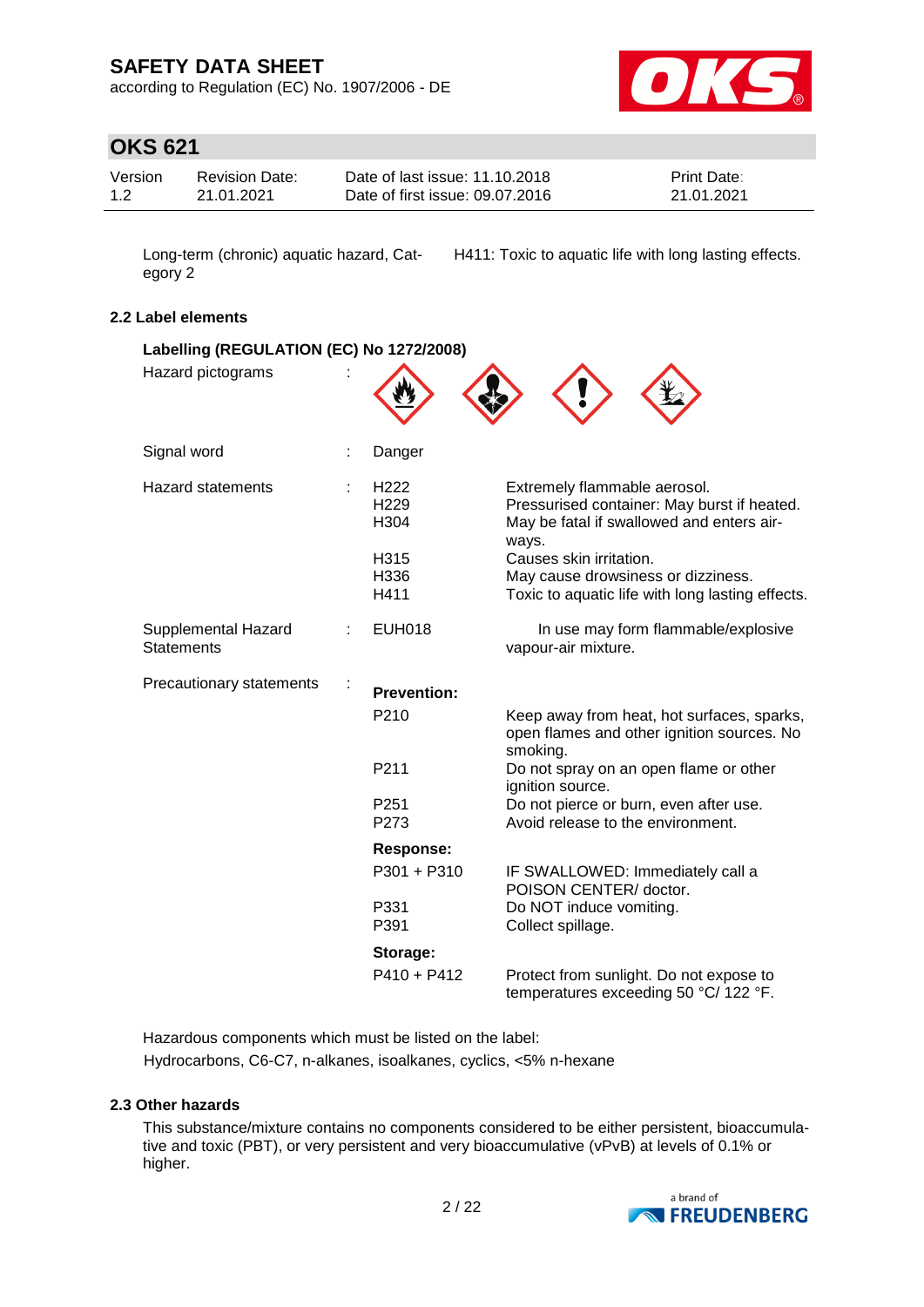according to Regulation (EC) No. 1907/2006 - DE



# **OKS 621**

| Version | <b>Revision Date:</b> | Date of last issue: 11.10.2018  | <b>Print Date:</b> |
|---------|-----------------------|---------------------------------|--------------------|
| 1.2     | 21.01.2021            | Date of first issue: 09.07.2016 | 21.01.2021         |

egory 2

Long-term (chronic) aquatic hazard, Cat-H411: Toxic to aquatic life with long lasting effects.

#### **2.2 Label elements**

| Labelling (REGULATION (EC) No 1272/2008) |                                              |                                                                                                                                   |  |  |  |
|------------------------------------------|----------------------------------------------|-----------------------------------------------------------------------------------------------------------------------------------|--|--|--|
| Hazard pictograms                        |                                              |                                                                                                                                   |  |  |  |
| Signal word                              | Danger                                       |                                                                                                                                   |  |  |  |
| <b>Hazard statements</b>                 | H <sub>222</sub><br>H <sub>229</sub><br>H304 | Extremely flammable aerosol.<br>Pressurised container: May burst if heated.<br>May be fatal if swallowed and enters air-<br>ways. |  |  |  |
|                                          | H315<br>H336<br>H411                         | Causes skin irritation.<br>May cause drowsiness or dizziness.<br>Toxic to aquatic life with long lasting effects.                 |  |  |  |
| Supplemental Hazard<br><b>Statements</b> | <b>EUH018</b>                                | In use may form flammable/explosive<br>vapour-air mixture.                                                                        |  |  |  |
| Precautionary statements                 | <b>Prevention:</b>                           |                                                                                                                                   |  |  |  |
|                                          | P <sub>210</sub>                             | Keep away from heat, hot surfaces, sparks,<br>open flames and other ignition sources. No<br>smoking.                              |  |  |  |
|                                          | P211                                         | Do not spray on an open flame or other<br>ignition source.                                                                        |  |  |  |
|                                          | P <sub>251</sub><br>P273                     | Do not pierce or burn, even after use.<br>Avoid release to the environment.                                                       |  |  |  |
|                                          | Response:                                    |                                                                                                                                   |  |  |  |
|                                          | P301 + P310                                  | IF SWALLOWED: Immediately call a<br>POISON CENTER/ doctor.                                                                        |  |  |  |
|                                          | P331<br>P391                                 | Do NOT induce vomiting.<br>Collect spillage.                                                                                      |  |  |  |
|                                          | Storage:                                     |                                                                                                                                   |  |  |  |
|                                          | $P410 + P412$                                | Protect from sunlight. Do not expose to<br>temperatures exceeding 50 °C/ 122 °F.                                                  |  |  |  |

Hazardous components which must be listed on the label: Hydrocarbons, C6-C7, n-alkanes, isoalkanes, cyclics, <5% n-hexane

#### **2.3 Other hazards**

This substance/mixture contains no components considered to be either persistent, bioaccumulative and toxic (PBT), or very persistent and very bioaccumulative (vPvB) at levels of 0.1% or higher.

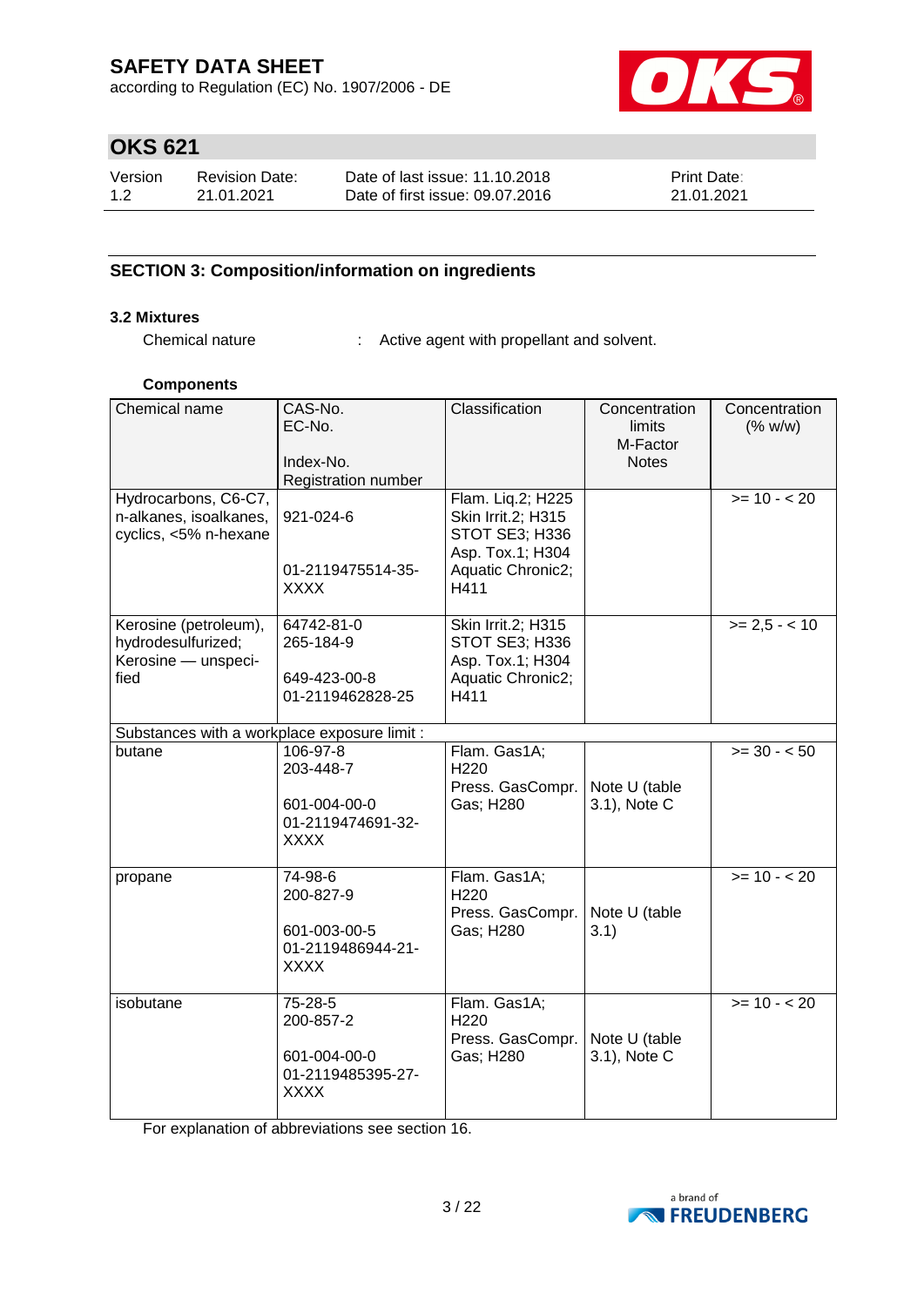according to Regulation (EC) No. 1907/2006 - DE



# **OKS 621**

| Version | Revision Date: | Date of last issue: 11.10.2018  | <b>Print Date:</b> |
|---------|----------------|---------------------------------|--------------------|
| 1.2     | 21.01.2021     | Date of first issue: 09.07.2016 | 21.01.2021         |

## **SECTION 3: Composition/information on ingredients**

## **3.2 Mixtures**

Chemical nature : Active agent with propellant and solvent.

#### **Components**

| Chemical name                                                              | CAS-No.<br>EC-No.<br>Index-No.<br>Registration number                     | Classification                                                                                                    | Concentration<br>limits<br>M-Factor<br><b>Notes</b> | Concentration<br>(% w/w) |
|----------------------------------------------------------------------------|---------------------------------------------------------------------------|-------------------------------------------------------------------------------------------------------------------|-----------------------------------------------------|--------------------------|
| Hydrocarbons, C6-C7,<br>n-alkanes, isoalkanes,<br>cyclics, <5% n-hexane    | 921-024-6<br>01-2119475514-35-<br>XXXX                                    | Flam. Liq.2; H225<br>Skin Irrit.2; H315<br><b>STOT SE3; H336</b><br>Asp. Tox.1; H304<br>Aquatic Chronic2;<br>H411 |                                                     | $>= 10 - 20$             |
| Kerosine (petroleum),<br>hydrodesulfurized;<br>Kerosine - unspeci-<br>fied | 64742-81-0<br>265-184-9<br>649-423-00-8<br>01-2119462828-25               | Skin Irrit.2; H315<br>STOT SE3; H336<br>Asp. Tox.1; H304<br>Aquatic Chronic2;<br>H411                             |                                                     | $>= 2.5 - 10$            |
| Substances with a workplace exposure limit :                               |                                                                           |                                                                                                                   |                                                     |                          |
| butane                                                                     | 106-97-8<br>203-448-7<br>601-004-00-0<br>01-2119474691-32-<br><b>XXXX</b> | Flam. Gas1A;<br>H220<br>Press. GasCompr.<br>Gas; H280                                                             | Note U (table<br>3.1), Note C                       | $>= 30 - 50$             |
| propane                                                                    | 74-98-6<br>200-827-9<br>601-003-00-5<br>01-2119486944-21-<br>XXXX         | Flam. Gas1A;<br>H220<br>Press. GasCompr.<br>Gas; H280                                                             | Note U (table<br>3.1)                               | $>= 10 - 20$             |
| isobutane                                                                  | 75-28-5<br>200-857-2<br>601-004-00-0<br>01-2119485395-27-<br><b>XXXX</b>  | Flam. Gas1A;<br>H <sub>220</sub><br>Press. GasCompr.<br>Gas; H280                                                 | Note U (table<br>3.1), Note C                       | $>= 10 - 20$             |

For explanation of abbreviations see section 16.

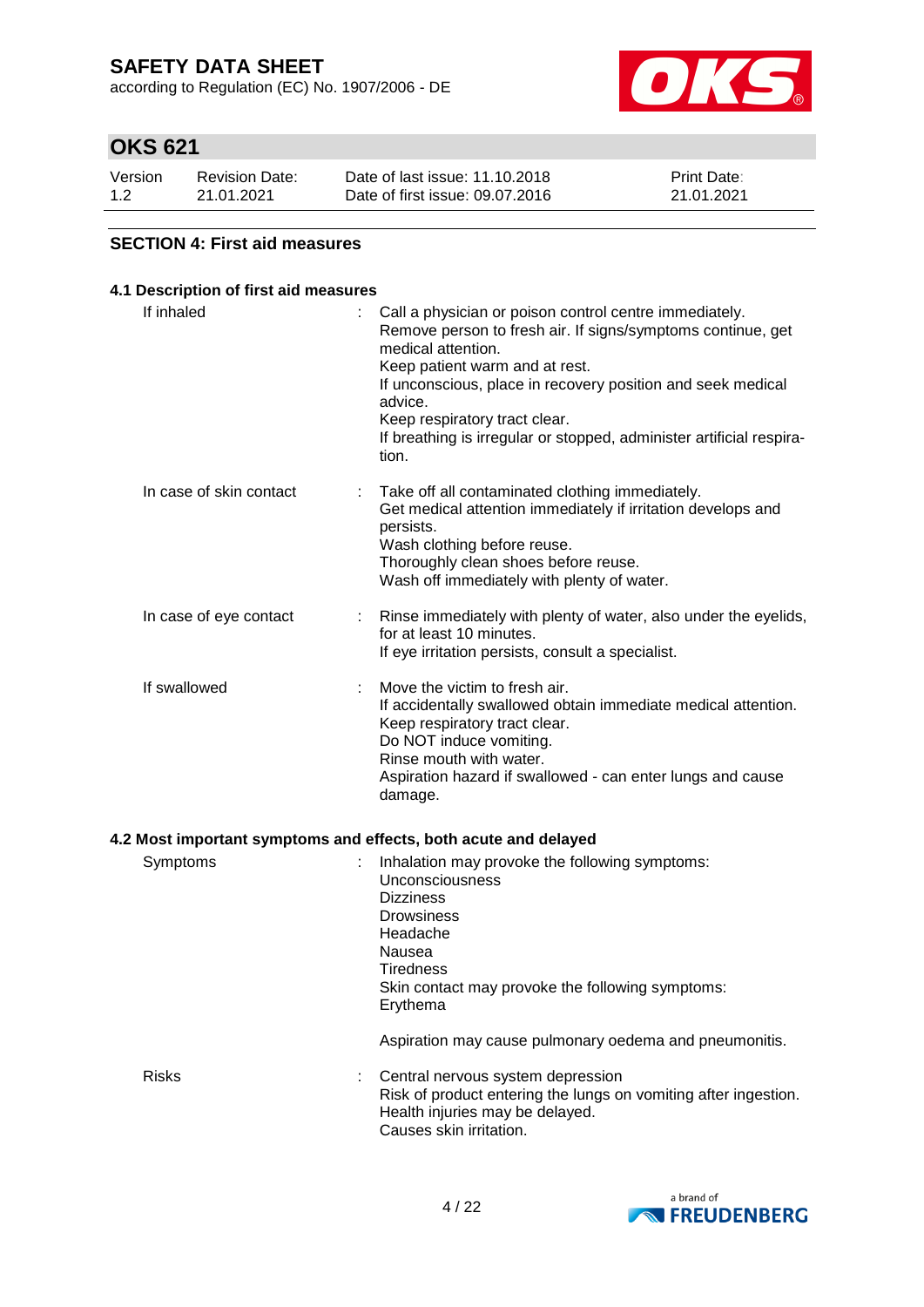according to Regulation (EC) No. 1907/2006 - DE



# **OKS 621**

| Version | <b>Revision Date:</b> | Date of last issue: 11.10.2018  | <b>Print Date:</b> |
|---------|-----------------------|---------------------------------|--------------------|
| 1.2     | 21.01.2021            | Date of first issue: 09.07.2016 | 21.01.2021         |

### **SECTION 4: First aid measures**

## **4.1 Description of first aid measures**

| If inhaled                                                      | Call a physician or poison control centre immediately.<br>Remove person to fresh air. If signs/symptoms continue, get<br>medical attention.<br>Keep patient warm and at rest.<br>If unconscious, place in recovery position and seek medical<br>advice.<br>Keep respiratory tract clear.<br>If breathing is irregular or stopped, administer artificial respira-<br>tion. |
|-----------------------------------------------------------------|---------------------------------------------------------------------------------------------------------------------------------------------------------------------------------------------------------------------------------------------------------------------------------------------------------------------------------------------------------------------------|
| In case of skin contact                                         | Take off all contaminated clothing immediately.<br>Get medical attention immediately if irritation develops and<br>persists.<br>Wash clothing before reuse.<br>Thoroughly clean shoes before reuse.<br>Wash off immediately with plenty of water.                                                                                                                         |
| In case of eye contact                                          | Rinse immediately with plenty of water, also under the eyelids,<br>for at least 10 minutes.<br>If eye irritation persists, consult a specialist.                                                                                                                                                                                                                          |
| If swallowed                                                    | Move the victim to fresh air.<br>If accidentally swallowed obtain immediate medical attention.<br>Keep respiratory tract clear.<br>Do NOT induce vomiting.<br>Rinse mouth with water.<br>Aspiration hazard if swallowed - can enter lungs and cause<br>damage.                                                                                                            |
| 4.2 Most important symptoms and effects, both acute and delayed |                                                                                                                                                                                                                                                                                                                                                                           |
| Symptoms                                                        | Inhalation may provoke the following symptoms:<br>Unconsciousness<br>Dizziness                                                                                                                                                                                                                                                                                            |

| oviiptums    | <b>INTERNATION IN A PLOY ONE THE TUROWING SYMPTOMS.</b><br><b>Unconsciousness</b><br><b>Dizziness</b><br><b>Drowsiness</b><br>Headache<br>Nausea<br>Tiredness<br>Skin contact may provoke the following symptoms:<br>Erythema |
|--------------|-------------------------------------------------------------------------------------------------------------------------------------------------------------------------------------------------------------------------------|
|              | Aspiration may cause pulmonary oedema and pneumonitis.                                                                                                                                                                        |
| <b>Risks</b> | Central nervous system depression<br>÷.<br>Risk of product entering the lungs on vomiting after ingestion.<br>Health injuries may be delayed.<br>Causes skin irritation.                                                      |

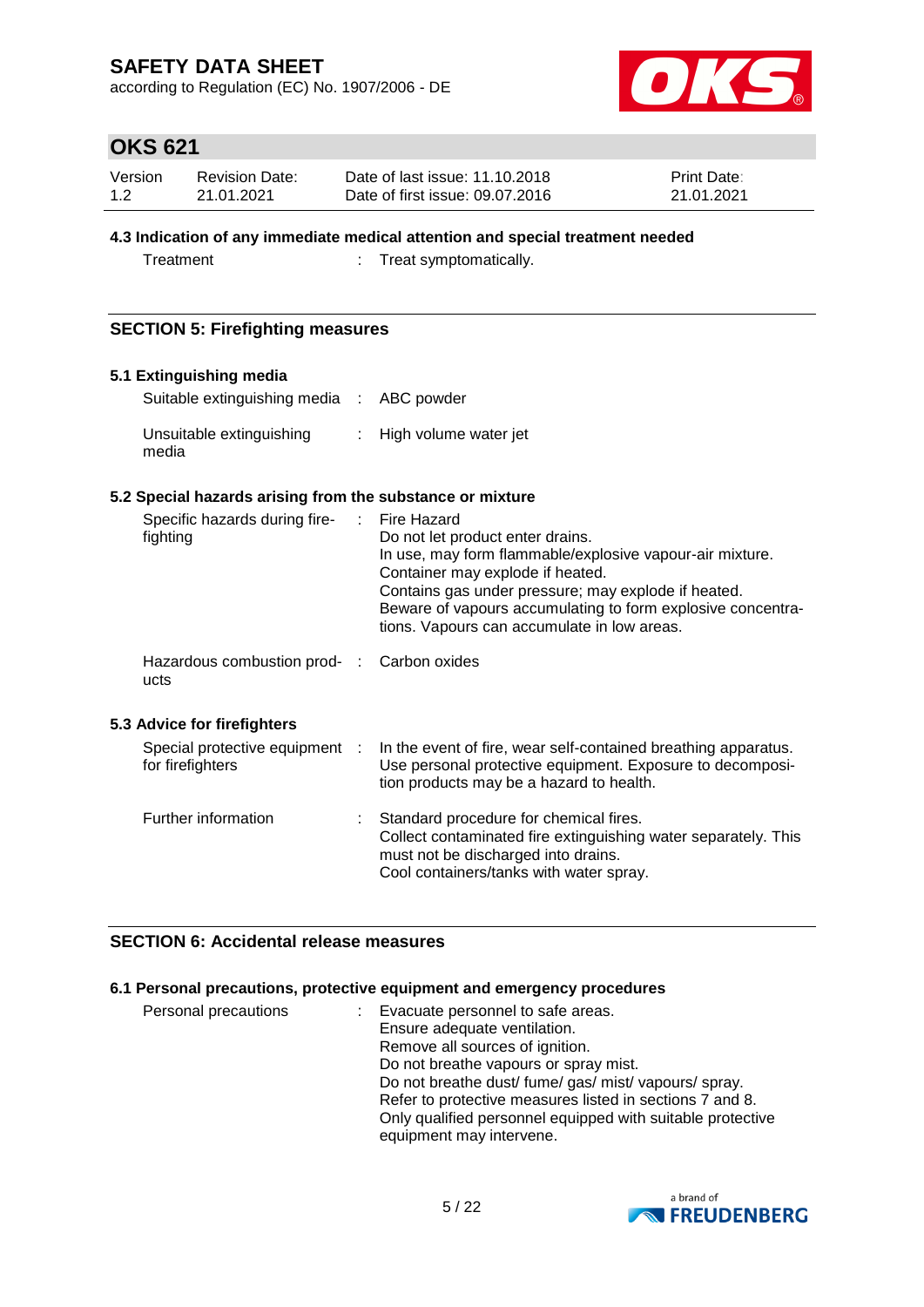according to Regulation (EC) No. 1907/2006 - DE



# **OKS 621**

| Version | <b>Revision Date:</b> | Date of last issue: 11.10.2018  | <b>Print Date:</b> |
|---------|-----------------------|---------------------------------|--------------------|
| 1.2     | 21.01.2021            | Date of first issue: 09.07.2016 | 21.01.2021         |

### **4.3 Indication of any immediate medical attention and special treatment needed**

Treatment : Treat symptomatically.

### **SECTION 5: Firefighting measures**

#### **5.1 Extinguishing media**

| Suitable extinguishing media : ABC powder |                         |
|-------------------------------------------|-------------------------|
| Unsuitable extinguishing<br>media         | : High volume water jet |

### **5.2 Special hazards arising from the substance or mixture**

| Specific hazards during fire-<br>fighting          | ÷ | Fire Hazard<br>Do not let product enter drains.<br>In use, may form flammable/explosive vapour-air mixture.<br>Container may explode if heated.<br>Contains gas under pressure; may explode if heated.<br>Beware of vapours accumulating to form explosive concentra-<br>tions. Vapours can accumulate in low areas. |
|----------------------------------------------------|---|----------------------------------------------------------------------------------------------------------------------------------------------------------------------------------------------------------------------------------------------------------------------------------------------------------------------|
| Hazardous combustion prod- :<br>ucts               |   | Carbon oxides                                                                                                                                                                                                                                                                                                        |
| 5.3 Advice for firefighters                        |   |                                                                                                                                                                                                                                                                                                                      |
| Special protective equipment :<br>for firefighters |   | In the event of fire, wear self-contained breathing apparatus.<br>Use personal protective equipment. Exposure to decomposi-<br>tion products may be a hazard to health.                                                                                                                                              |
| Further information                                |   | Standard procedure for chemical fires.<br>Collect contaminated fire extinguishing water separately. This<br>must not be discharged into drains.<br>Cool containers/tanks with water spray.                                                                                                                           |

### **SECTION 6: Accidental release measures**

## **6.1 Personal precautions, protective equipment and emergency procedures**

| Personal precautions | : Evacuate personnel to safe areas.                        |
|----------------------|------------------------------------------------------------|
|                      | Ensure adequate ventilation.                               |
|                      | Remove all sources of ignition.                            |
|                      | Do not breathe vapours or spray mist.                      |
|                      | Do not breathe dust/ fume/ gas/ mist/ vapours/ spray.      |
|                      | Refer to protective measures listed in sections 7 and 8.   |
|                      | Only qualified personnel equipped with suitable protective |
|                      | equipment may intervene.                                   |

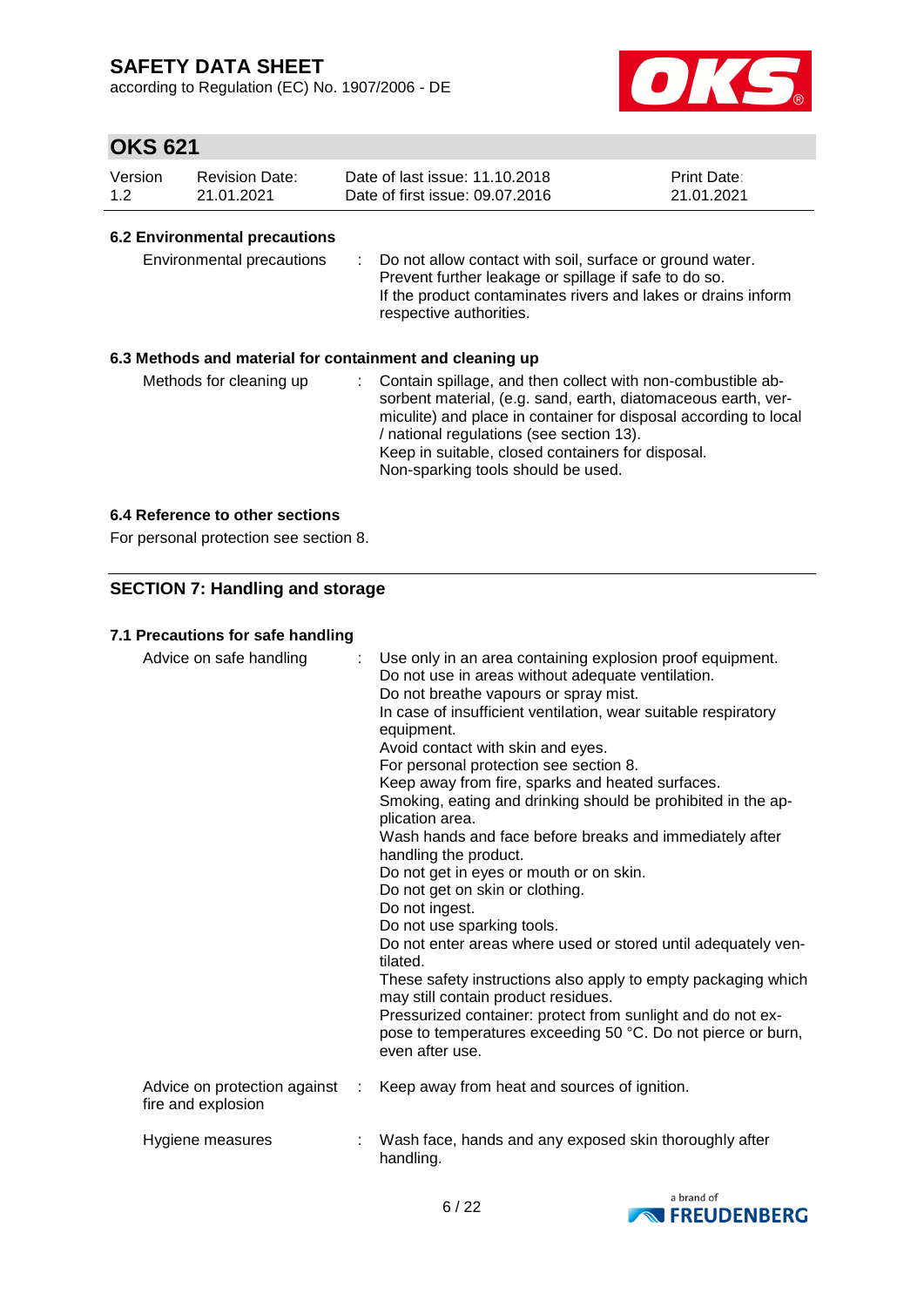according to Regulation (EC) No. 1907/2006 - DE



# **OKS 621**

| Version | <b>Revision Date:</b> | Date of last issue: 11.10.2018  | <b>Print Date:</b> |
|---------|-----------------------|---------------------------------|--------------------|
| 1.2     | 21.01.2021            | Date of first issue: 09.07.2016 | 21.01.2021         |

#### **6.2 Environmental precautions**

| Environmental precautions |  | : Do not allow contact with soil, surface or ground water.<br>Prevent further leakage or spillage if safe to do so.<br>If the product contaminates rivers and lakes or drains inform<br>respective authorities. |
|---------------------------|--|-----------------------------------------------------------------------------------------------------------------------------------------------------------------------------------------------------------------|
|---------------------------|--|-----------------------------------------------------------------------------------------------------------------------------------------------------------------------------------------------------------------|

### **6.3 Methods and material for containment and cleaning up**

| Methods for cleaning up |  | : Contain spillage, and then collect with non-combustible ab-<br>sorbent material, (e.g. sand, earth, diatomaceous earth, ver-<br>miculite) and place in container for disposal according to local<br>/ national regulations (see section 13).<br>Keep in suitable, closed containers for disposal.<br>Non-sparking tools should be used. |
|-------------------------|--|-------------------------------------------------------------------------------------------------------------------------------------------------------------------------------------------------------------------------------------------------------------------------------------------------------------------------------------------|
|-------------------------|--|-------------------------------------------------------------------------------------------------------------------------------------------------------------------------------------------------------------------------------------------------------------------------------------------------------------------------------------------|

#### **6.4 Reference to other sections**

For personal protection see section 8.

### **SECTION 7: Handling and storage**

#### **7.1 Precautions for safe handling**

| Advice on safe handling                            |   | : Use only in an area containing explosion proof equipment.<br>Do not use in areas without adequate ventilation.<br>Do not breathe vapours or spray mist.<br>In case of insufficient ventilation, wear suitable respiratory<br>equipment.<br>Avoid contact with skin and eyes.<br>For personal protection see section 8.<br>Keep away from fire, sparks and heated surfaces.<br>Smoking, eating and drinking should be prohibited in the ap-<br>plication area.<br>Wash hands and face before breaks and immediately after<br>handling the product.<br>Do not get in eyes or mouth or on skin.<br>Do not get on skin or clothing.<br>Do not ingest.<br>Do not use sparking tools.<br>Do not enter areas where used or stored until adequately ven-<br>tilated.<br>These safety instructions also apply to empty packaging which<br>may still contain product residues.<br>Pressurized container: protect from sunlight and do not ex-<br>pose to temperatures exceeding 50 °C. Do not pierce or burn,<br>even after use. |
|----------------------------------------------------|---|--------------------------------------------------------------------------------------------------------------------------------------------------------------------------------------------------------------------------------------------------------------------------------------------------------------------------------------------------------------------------------------------------------------------------------------------------------------------------------------------------------------------------------------------------------------------------------------------------------------------------------------------------------------------------------------------------------------------------------------------------------------------------------------------------------------------------------------------------------------------------------------------------------------------------------------------------------------------------------------------------------------------------|
| Advice on protection against<br>fire and explosion | ÷ | Keep away from heat and sources of ignition.                                                                                                                                                                                                                                                                                                                                                                                                                                                                                                                                                                                                                                                                                                                                                                                                                                                                                                                                                                             |
| Hygiene measures                                   |   | Wash face, hands and any exposed skin thoroughly after<br>handling.                                                                                                                                                                                                                                                                                                                                                                                                                                                                                                                                                                                                                                                                                                                                                                                                                                                                                                                                                      |

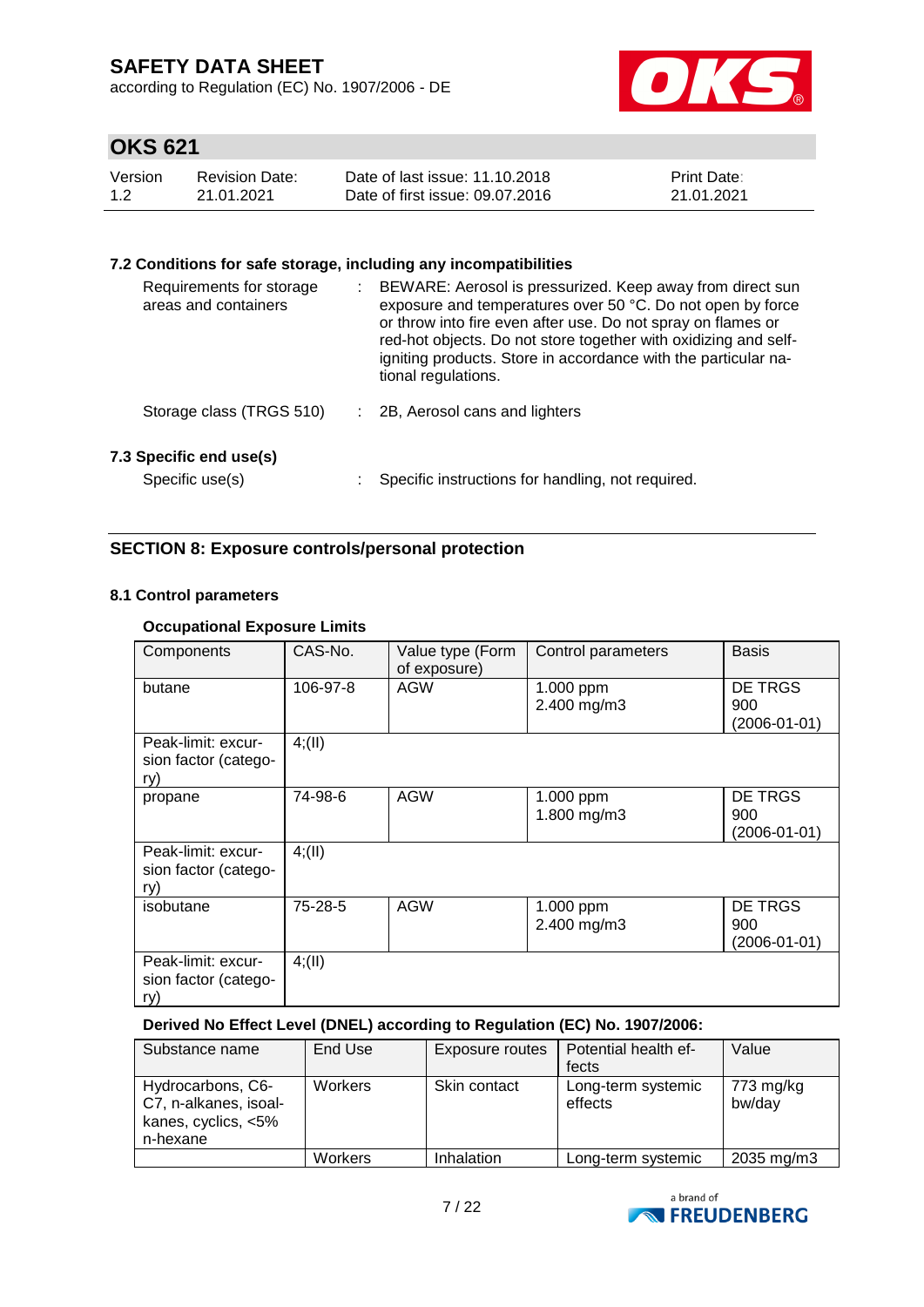according to Regulation (EC) No. 1907/2006 - DE



# **OKS 621**

| Version | Revision Date: | Date of last issue: 11.10.2018  | <b>Print Date:</b> |
|---------|----------------|---------------------------------|--------------------|
| 1.2     | 21.01.2021     | Date of first issue: 09.07.2016 | 21.01.2021         |

### **7.2 Conditions for safe storage, including any incompatibilities**

| Requirements for storage<br>areas and containers | ÷ | BEWARE: Aerosol is pressurized. Keep away from direct sun<br>exposure and temperatures over 50 °C. Do not open by force<br>or throw into fire even after use. Do not spray on flames or<br>red-hot objects. Do not store together with oxidizing and self-<br>igniting products. Store in accordance with the particular na-<br>tional regulations. |
|--------------------------------------------------|---|-----------------------------------------------------------------------------------------------------------------------------------------------------------------------------------------------------------------------------------------------------------------------------------------------------------------------------------------------------|
| Storage class (TRGS 510)                         |   | 2B, Aerosol cans and lighters                                                                                                                                                                                                                                                                                                                       |
| 7.3 Specific end use(s)<br>Specific use(s)       |   | Specific instructions for handling, not required.                                                                                                                                                                                                                                                                                                   |

## **SECTION 8: Exposure controls/personal protection**

#### **8.1 Control parameters**

### **Occupational Exposure Limits**

| Components                                        | CAS-No.  | Value type (Form<br>of exposure) | Control parameters       | <b>Basis</b>                                |
|---------------------------------------------------|----------|----------------------------------|--------------------------|---------------------------------------------|
| butane                                            | 106-97-8 | AGW                              | 1.000 ppm<br>2.400 mg/m3 | <b>DE TRGS</b><br>900<br>$(2006 - 01 - 01)$ |
| Peak-limit: excur-<br>sion factor (catego-<br>ry) | 4(11)    |                                  |                          |                                             |
| propane                                           | 74-98-6  | <b>AGW</b>                       | 1.000 ppm<br>1.800 mg/m3 | <b>DE TRGS</b><br>900<br>$(2006 - 01 - 01)$ |
| Peak-limit: excur-<br>sion factor (catego-<br>ry) | 4; (II)  |                                  |                          |                                             |
| isobutane                                         | 75-28-5  | <b>AGW</b>                       | 1.000 ppm<br>2.400 mg/m3 | <b>DE TRGS</b><br>900<br>$(2006 - 01 - 01)$ |
| Peak-limit: excur-<br>sion factor (catego-<br>ry) | 4(11)    |                                  |                          |                                             |

### **Derived No Effect Level (DNEL) according to Regulation (EC) No. 1907/2006:**

| Substance name                                                                | End Use        | Exposure routes | Potential health ef-          | Value               |
|-------------------------------------------------------------------------------|----------------|-----------------|-------------------------------|---------------------|
|                                                                               |                |                 | fects                         |                     |
| Hydrocarbons, C6-<br>C7, n-alkanes, isoal-<br>kanes, cyclics, <5%<br>n-hexane | <b>Workers</b> | Skin contact    | Long-term systemic<br>effects | 773 mg/kg<br>bw/day |
|                                                                               | Workers        | Inhalation      | Long-term systemic            | 2035 mg/m3          |

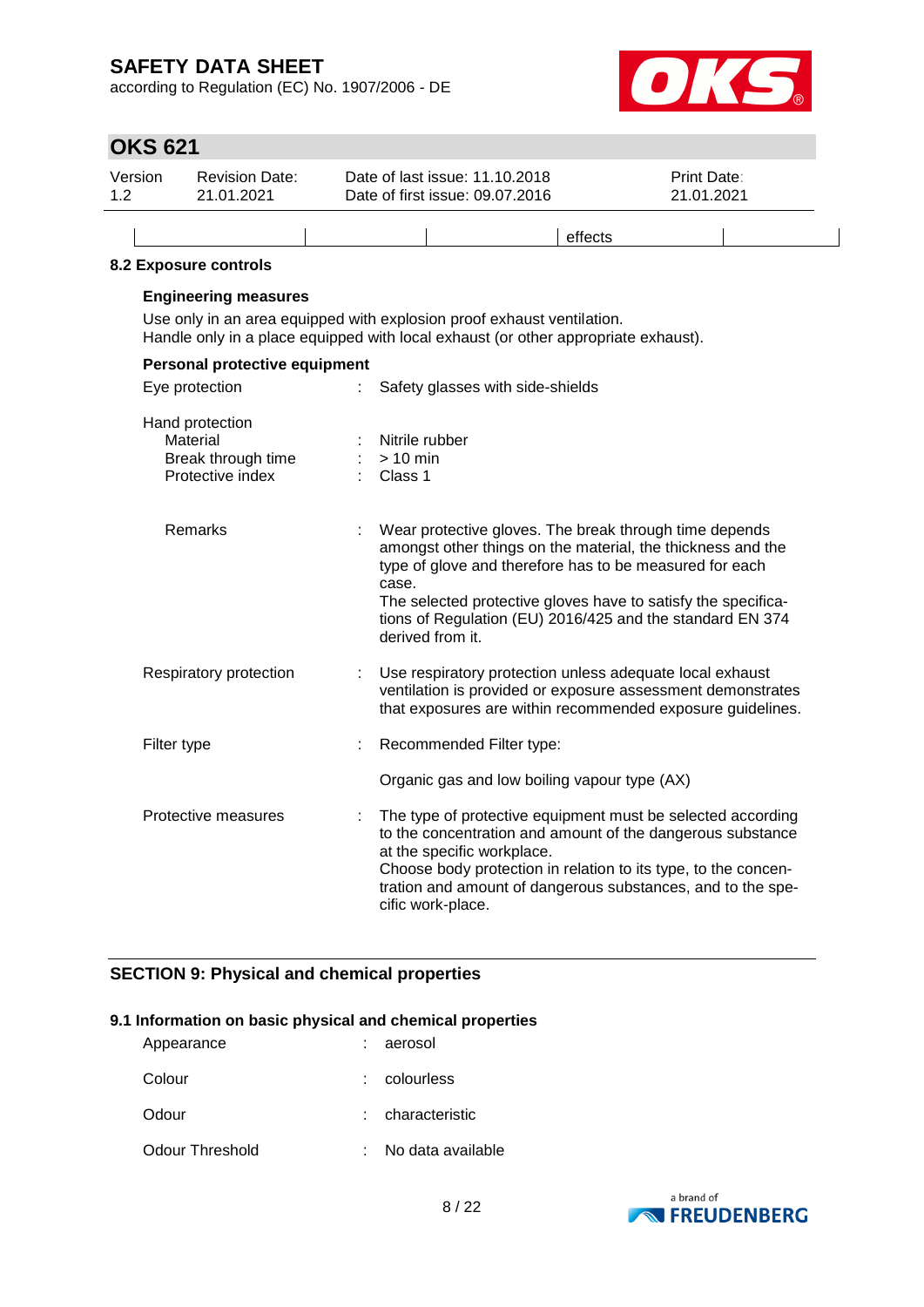according to Regulation (EC) No. 1907/2006 - DE



## **OKS 621**

| Version | <b>Revision Date:</b> | Date of last issue: 11.10.2018  | <b>Print Date:</b> |
|---------|-----------------------|---------------------------------|--------------------|
| 12      | 21.01.2021            | Date of first issue: 09.07.2016 | 21.01.2021         |
|         |                       |                                 | effects            |

#### **8.2 Exposure controls**

### **Engineering measures**

Use only in an area equipped with explosion proof exhaust ventilation. Handle only in a place equipped with local exhaust (or other appropriate exhaust).

| Personal protective equipment                                         |                                                                                                                                                                                                                                                                                                                                             |  |  |
|-----------------------------------------------------------------------|---------------------------------------------------------------------------------------------------------------------------------------------------------------------------------------------------------------------------------------------------------------------------------------------------------------------------------------------|--|--|
| Eye protection                                                        | Safety glasses with side-shields                                                                                                                                                                                                                                                                                                            |  |  |
| Hand protection<br>Material<br>Break through time<br>Protective index | Nitrile rubber<br>$> 10$ min<br>Class 1                                                                                                                                                                                                                                                                                                     |  |  |
| Remarks                                                               | Wear protective gloves. The break through time depends<br>amongst other things on the material, the thickness and the<br>type of glove and therefore has to be measured for each<br>case.<br>The selected protective gloves have to satisfy the specifica-<br>tions of Regulation (EU) 2016/425 and the standard EN 374<br>derived from it. |  |  |
| Respiratory protection                                                | Use respiratory protection unless adequate local exhaust<br>ventilation is provided or exposure assessment demonstrates<br>that exposures are within recommended exposure guidelines.                                                                                                                                                       |  |  |
| Filter type                                                           | Recommended Filter type:                                                                                                                                                                                                                                                                                                                    |  |  |
|                                                                       | Organic gas and low boiling vapour type (AX)                                                                                                                                                                                                                                                                                                |  |  |
| Protective measures                                                   | The type of protective equipment must be selected according<br>to the concentration and amount of the dangerous substance<br>at the specific workplace.<br>Choose body protection in relation to its type, to the concen-<br>tration and amount of dangerous substances, and to the spe-<br>cific work-place.                               |  |  |

### **SECTION 9: Physical and chemical properties**

#### **9.1 Information on basic physical and chemical properties**

| Appearance      | : aerosol         |
|-----------------|-------------------|
| Colour          | colourless        |
| Odour           | characteristic    |
| Odour Threshold | No data available |

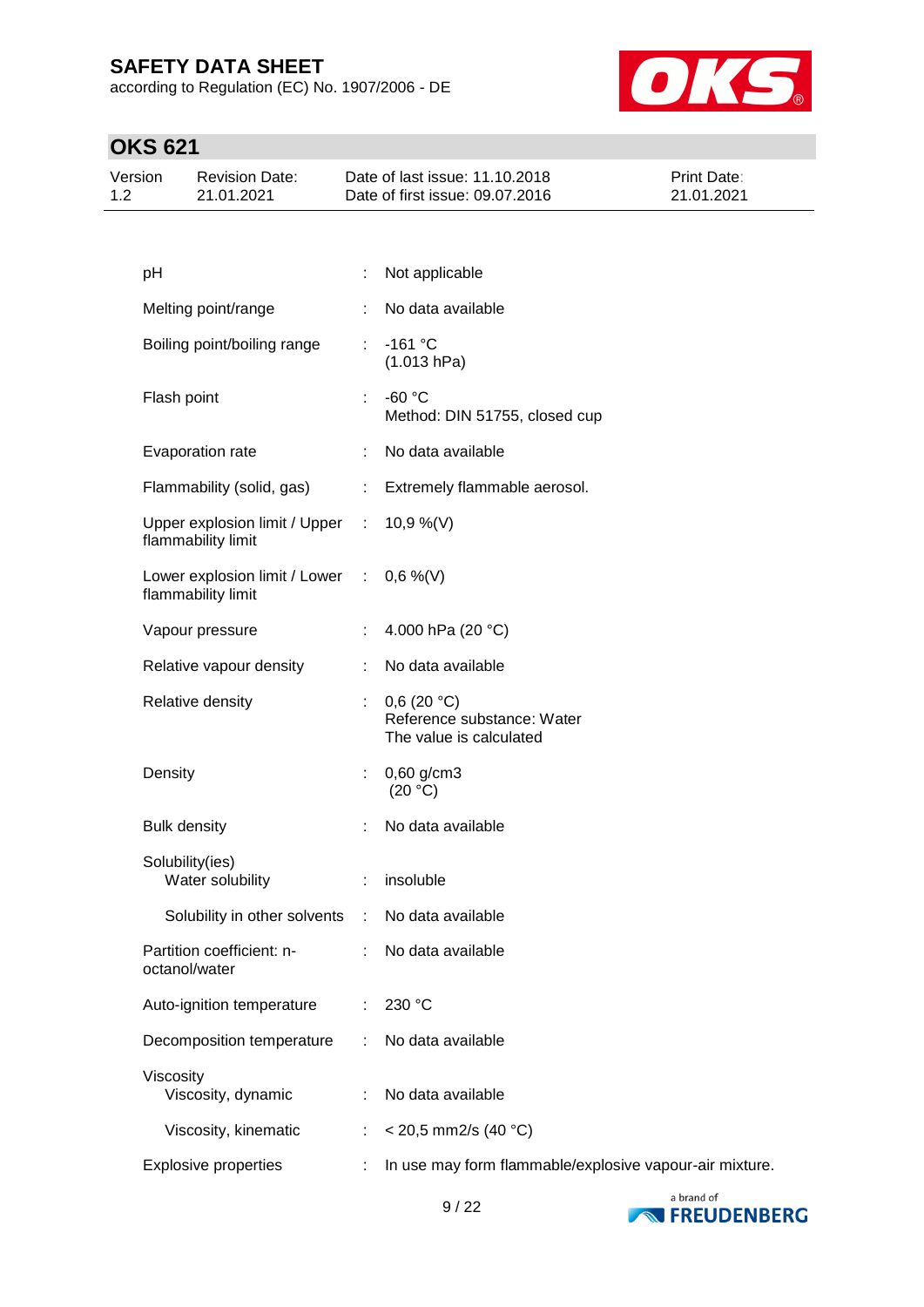according to Regulation (EC) No. 1907/2006 - DE



| Version | <b>Revision Date:</b> | Date of last issue: 11.10.2018  | <b>Print Date:</b> |
|---------|-----------------------|---------------------------------|--------------------|
| 1.2     | 21.01.2021            | Date of first issue: 09.07.2016 | 21.01.2021         |
|         |                       |                                 |                    |

| pH                                                    |    | Not applicable                                                      |
|-------------------------------------------------------|----|---------------------------------------------------------------------|
| Melting point/range                                   |    | No data available                                                   |
| Boiling point/boiling range                           | ÷  | $-161$ °C<br>(1.013 hPa)                                            |
| Flash point                                           | ÷  | $-60 °C$<br>Method: DIN 51755, closed cup                           |
| Evaporation rate                                      |    | No data available                                                   |
| Flammability (solid, gas)                             | ÷. | Extremely flammable aerosol.                                        |
| Upper explosion limit / Upper :<br>flammability limit |    | 10,9 %(V)                                                           |
| Lower explosion limit / Lower :<br>flammability limit |    | $0,6\%$ (V)                                                         |
| Vapour pressure                                       | ÷  | 4.000 hPa (20 °C)                                                   |
| Relative vapour density                               |    | No data available                                                   |
| Relative density                                      |    | 0,6(20 °C)<br>Reference substance: Water<br>The value is calculated |
| Density                                               | ÷. | $0,60$ g/cm3<br>(20 °C)                                             |
| <b>Bulk density</b>                                   | ÷  | No data available                                                   |
| Solubility(ies)<br>Water solubility                   |    | insoluble                                                           |
| Solubility in other solvents                          | ÷  | No data available                                                   |
| Partition coefficient: n-<br>octanol/water            |    | No data available                                                   |
| Auto-ignition temperature                             |    | 230 °C                                                              |
| Decomposition temperature                             |    | No data available                                                   |
| Viscosity<br>Viscosity, dynamic                       |    | No data available                                                   |
| Viscosity, kinematic                                  |    | $<$ 20,5 mm2/s (40 °C)                                              |
| <b>Explosive properties</b>                           |    | In use may form flammable/explosive vapour-air mixture.             |
|                                                       |    |                                                                     |

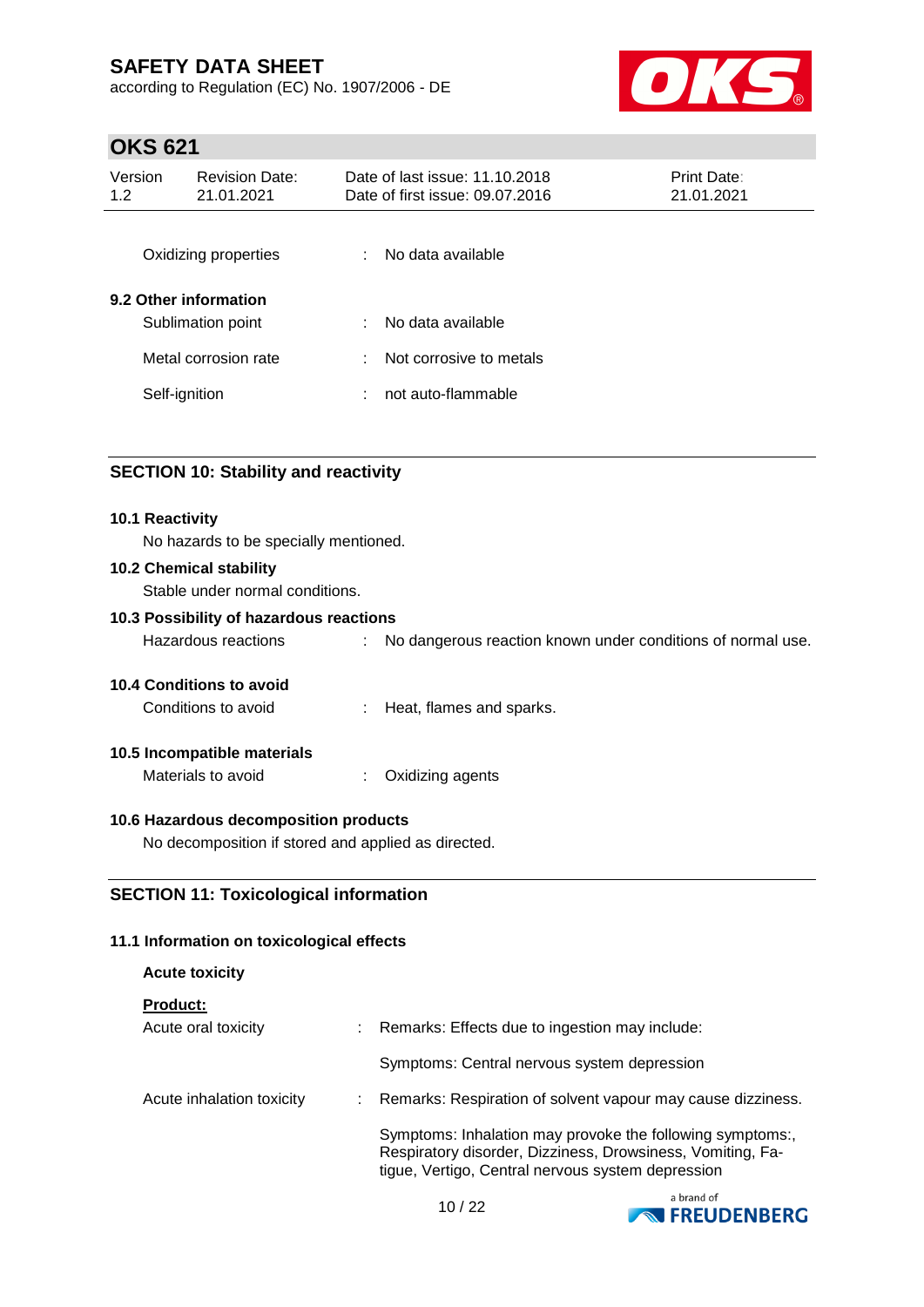according to Regulation (EC) No. 1907/2006 - DE



# **OKS 621**

| Version<br>1.2 | <b>Revision Date:</b><br>21.01.2021        | Date of last issue: 11.10.2018<br>Date of first issue: 09.07.2016 | Print Date:<br>21.01.2021 |
|----------------|--------------------------------------------|-------------------------------------------------------------------|---------------------------|
|                | Oxidizing properties                       | No data available<br>t.                                           |                           |
|                | 9.2 Other information<br>Sublimation point | No data available<br>÷                                            |                           |
|                | Metal corrosion rate                       | Not corrosive to metals<br>÷                                      |                           |
|                | Self-ignition                              | not auto-flammable<br>÷                                           |                           |
|                |                                            |                                                                   |                           |

## **SECTION 10: Stability and reactivity**

#### **10.1 Reactivity**

No hazards to be specially mentioned.

#### **10.2 Chemical stability**

Stable under normal conditions.

#### **10.3 Possibility of hazardous reactions**

| Hazardous reactions |  | No dangerous reaction known under conditions of normal use. |
|---------------------|--|-------------------------------------------------------------|
|---------------------|--|-------------------------------------------------------------|

#### **10.4 Conditions to avoid**

Conditions to avoid : Heat, flames and sparks.

#### **10.5 Incompatible materials**

Materials to avoid : Oxidizing agents

#### **10.6 Hazardous decomposition products**

No decomposition if stored and applied as directed.

### **SECTION 11: Toxicological information**

#### **11.1 Information on toxicological effects**

| <b>Acute toxicity</b>     |                                                                                                                                                                              |
|---------------------------|------------------------------------------------------------------------------------------------------------------------------------------------------------------------------|
| <b>Product:</b>           |                                                                                                                                                                              |
| Acute oral toxicity       | Remarks: Effects due to ingestion may include:                                                                                                                               |
|                           | Symptoms: Central nervous system depression                                                                                                                                  |
| Acute inhalation toxicity | Remarks: Respiration of solvent vapour may cause dizziness.                                                                                                                  |
|                           | Symptoms: Inhalation may provoke the following symptoms:,<br>Respiratory disorder, Dizziness, Drowsiness, Vomiting, Fa-<br>tigue, Vertigo, Central nervous system depression |
|                           | a brand of                                                                                                                                                                   |

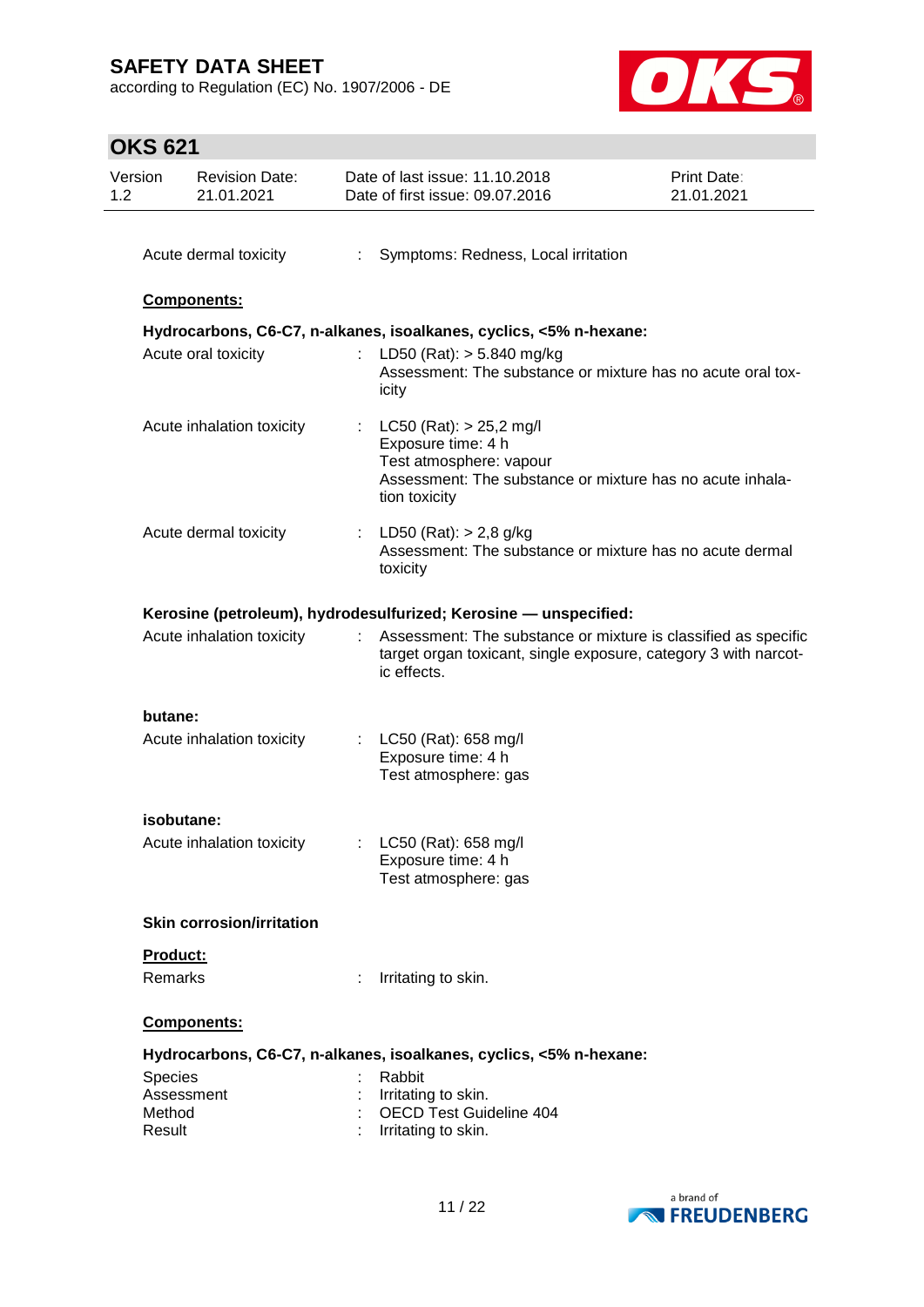according to Regulation (EC) No. 1907/2006 - DE



| Version<br>1.2      | <b>Revision Date:</b><br>21.01.2021 |     | Date of last issue: 11.10.2018<br>Date of first issue: 09.07.2016                                                                                            | <b>Print Date:</b><br>21.01.2021 |
|---------------------|-------------------------------------|-----|--------------------------------------------------------------------------------------------------------------------------------------------------------------|----------------------------------|
|                     | Acute dermal toxicity               | ÷.  | Symptoms: Redness, Local irritation                                                                                                                          |                                  |
|                     | Components:                         |     |                                                                                                                                                              |                                  |
|                     |                                     |     | Hydrocarbons, C6-C7, n-alkanes, isoalkanes, cyclics, <5% n-hexane:                                                                                           |                                  |
|                     | Acute oral toxicity                 |     | LD50 (Rat): $> 5.840$ mg/kg<br>Assessment: The substance or mixture has no acute oral tox-<br>icity                                                          |                                  |
|                     | Acute inhalation toxicity           |     | : $LC50$ (Rat): $> 25.2$ mg/l<br>Exposure time: 4 h<br>Test atmosphere: vapour<br>Assessment: The substance or mixture has no acute inhala-<br>tion toxicity |                                  |
|                     | Acute dermal toxicity               |     | : LD50 (Rat): $> 2,8$ g/kg<br>Assessment: The substance or mixture has no acute dermal<br>toxicity                                                           |                                  |
|                     |                                     |     | Kerosine (petroleum), hydrodesulfurized; Kerosine - unspecified:                                                                                             |                                  |
|                     | Acute inhalation toxicity           |     | Assessment: The substance or mixture is classified as specific<br>target organ toxicant, single exposure, category 3 with narcot-<br>ic effects.             |                                  |
| butane:             |                                     |     |                                                                                                                                                              |                                  |
|                     | Acute inhalation toxicity           | t i | LC50 (Rat): 658 mg/l<br>Exposure time: 4 h<br>Test atmosphere: gas                                                                                           |                                  |
|                     | isobutane:                          |     |                                                                                                                                                              |                                  |
|                     | Acute inhalation toxicity           |     | : $LC50$ (Rat): 658 mg/l<br>Exposure time: 4 h<br>Test atmosphere: gas                                                                                       |                                  |
|                     | <b>Skin corrosion/irritation</b>    |     |                                                                                                                                                              |                                  |
| Product:<br>Remarks |                                     |     | Irritating to skin.                                                                                                                                          |                                  |
|                     |                                     |     |                                                                                                                                                              |                                  |
|                     | Components:                         |     |                                                                                                                                                              |                                  |
|                     |                                     |     | Hydrocarbons, C6-C7, n-alkanes, isoalkanes, cyclics, <5% n-hexane:                                                                                           |                                  |
| Species             | Assessment                          |     | Rabbit<br>Irritating to skin.                                                                                                                                |                                  |
| Method<br>Result    |                                     |     | <b>OECD Test Guideline 404</b><br>Irritating to skin.                                                                                                        |                                  |

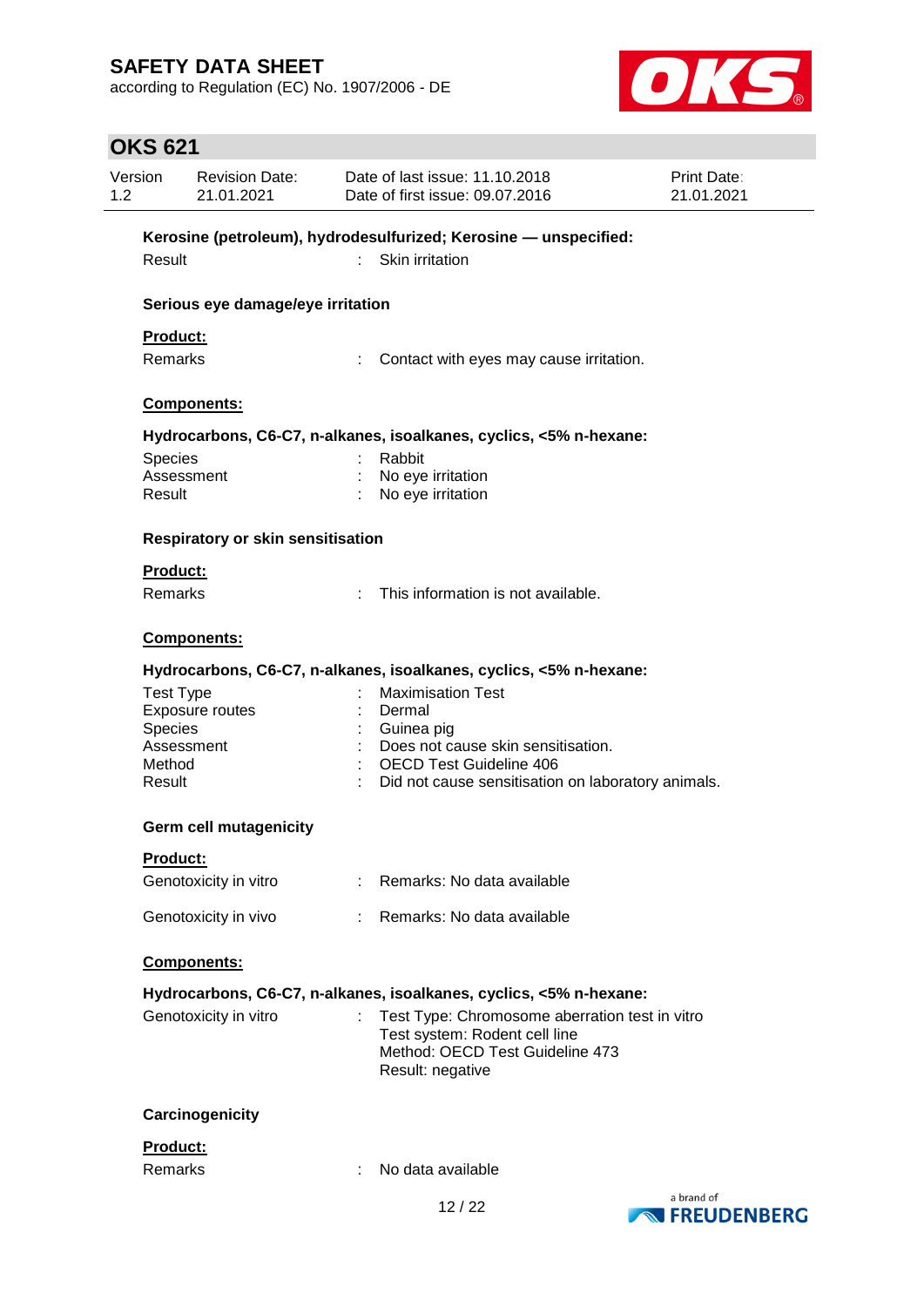according to Regulation (EC) No. 1907/2006 - DE



| Version<br>1.2 |                  | <b>Revision Date:</b><br>21.01.2021      |    | Date of last issue: 11.10.2018<br>Date of first issue: 09.07.2016                    | Print Date:<br>21.01.2021 |
|----------------|------------------|------------------------------------------|----|--------------------------------------------------------------------------------------|---------------------------|
|                |                  |                                          |    | Kerosine (petroleum), hydrodesulfurized; Kerosine - unspecified:                     |                           |
|                | Result           |                                          | t. | Skin irritation                                                                      |                           |
|                |                  | Serious eye damage/eye irritation        |    |                                                                                      |                           |
|                | Product:         |                                          |    |                                                                                      |                           |
|                | <b>Remarks</b>   |                                          |    | Contact with eyes may cause irritation.                                              |                           |
|                |                  | Components:                              |    |                                                                                      |                           |
|                |                  |                                          |    | Hydrocarbons, C6-C7, n-alkanes, isoalkanes, cyclics, <5% n-hexane:                   |                           |
|                | Species          |                                          |    | Rabbit                                                                               |                           |
|                |                  | Assessment                               |    | No eye irritation                                                                    |                           |
|                | Result           |                                          |    | No eye irritation                                                                    |                           |
|                |                  | <b>Respiratory or skin sensitisation</b> |    |                                                                                      |                           |
|                | <b>Product:</b>  |                                          |    |                                                                                      |                           |
|                | <b>Remarks</b>   |                                          |    | This information is not available.                                                   |                           |
|                |                  | <b>Components:</b>                       |    |                                                                                      |                           |
|                |                  |                                          |    | Hydrocarbons, C6-C7, n-alkanes, isoalkanes, cyclics, <5% n-hexane:                   |                           |
|                | <b>Test Type</b> |                                          |    | <b>Maximisation Test</b>                                                             |                           |
|                |                  | Exposure routes                          |    | Dermal                                                                               |                           |
|                | <b>Species</b>   |                                          |    | Guinea pig                                                                           |                           |
|                |                  | Assessment                               |    | Does not cause skin sensitisation.                                                   |                           |
|                | Method           |                                          |    | OECD Test Guideline 406                                                              |                           |
|                | Result           |                                          |    | Did not cause sensitisation on laboratory animals.                                   |                           |
|                |                  | <b>Germ cell mutagenicity</b>            |    |                                                                                      |                           |
|                | Product:         |                                          |    |                                                                                      |                           |
|                |                  | Genotoxicity in vitro                    |    | : Remarks: No data available                                                         |                           |
|                |                  | Genotoxicity in vivo                     |    | Remarks: No data available                                                           |                           |
|                |                  | Components:                              |    |                                                                                      |                           |
|                |                  |                                          |    | Hydrocarbons, C6-C7, n-alkanes, isoalkanes, cyclics, <5% n-hexane:                   |                           |
|                |                  | Genotoxicity in vitro                    |    | Test Type: Chromosome aberration test in vitro                                       |                           |
|                |                  |                                          |    | Test system: Rodent cell line<br>Method: OECD Test Guideline 473<br>Result: negative |                           |
|                |                  |                                          |    |                                                                                      |                           |
|                |                  | Carcinogenicity                          |    |                                                                                      |                           |
|                | Product:         |                                          |    |                                                                                      |                           |
|                | Remarks          |                                          |    | No data available                                                                    |                           |
|                |                  |                                          |    |                                                                                      | a brand of                |

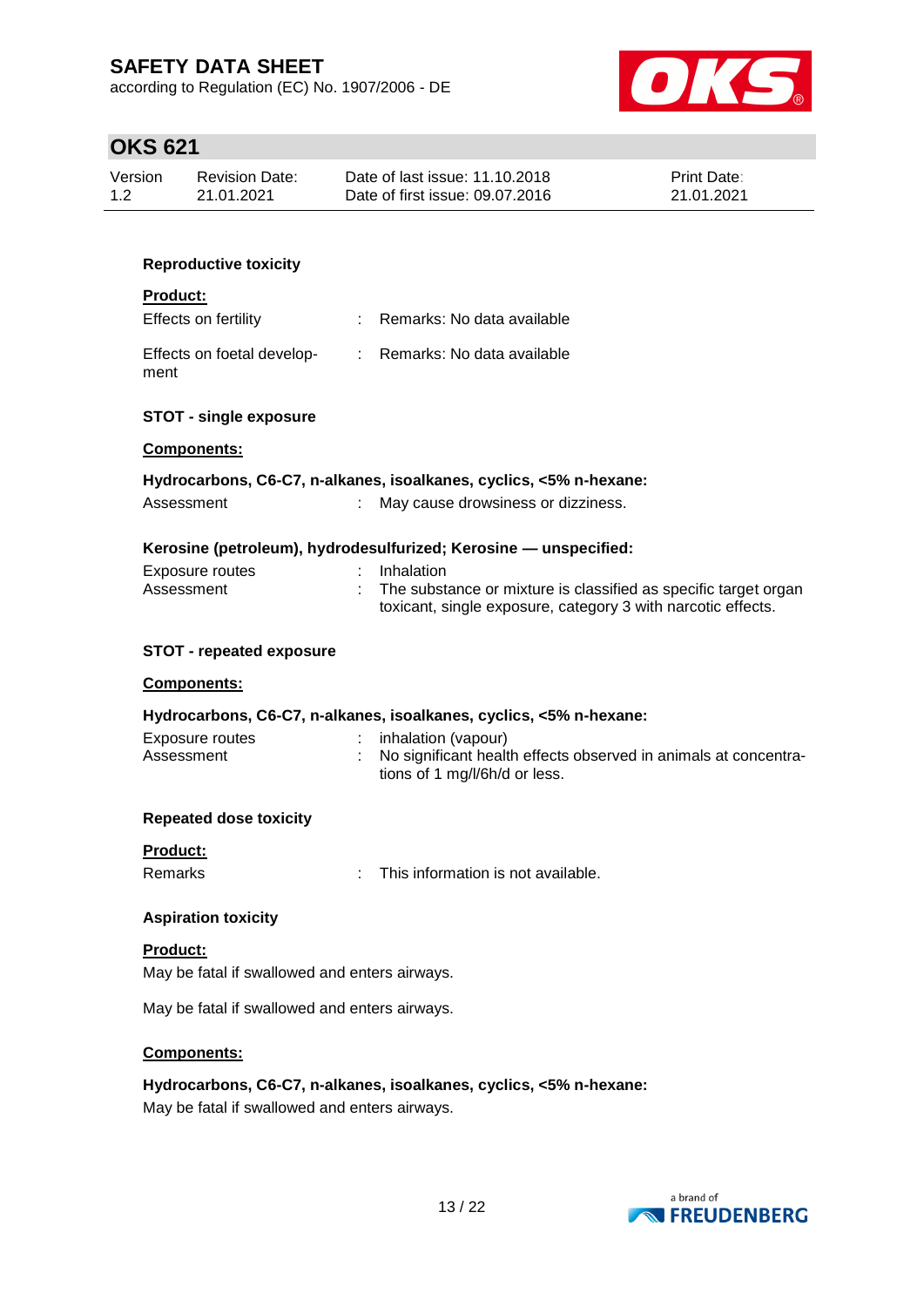according to Regulation (EC) No. 1907/2006 - DE



|          | <b>Revision Date:</b><br>21.01.2021           | Date of last issue: 11.10.2018<br>Date of first issue: 09.07.2016                                                               | Print Date:<br>21.01.2021 |
|----------|-----------------------------------------------|---------------------------------------------------------------------------------------------------------------------------------|---------------------------|
|          |                                               |                                                                                                                                 |                           |
|          | <b>Reproductive toxicity</b>                  |                                                                                                                                 |                           |
| Product: |                                               |                                                                                                                                 |                           |
|          | Effects on fertility                          | Remarks: No data available                                                                                                      |                           |
| ment     | Effects on foetal develop-                    | Remarks: No data available<br>÷.                                                                                                |                           |
|          | <b>STOT - single exposure</b>                 |                                                                                                                                 |                           |
|          | Components:                                   |                                                                                                                                 |                           |
|          |                                               | Hydrocarbons, C6-C7, n-alkanes, isoalkanes, cyclics, <5% n-hexane:                                                              |                           |
|          | Assessment                                    | May cause drowsiness or dizziness.<br>t.                                                                                        |                           |
|          |                                               | Kerosine (petroleum), hydrodesulfurized; Kerosine - unspecified:                                                                |                           |
|          | <b>Exposure routes</b>                        | Inhalation                                                                                                                      |                           |
|          | Assessment                                    | The substance or mixture is classified as specific target organ<br>toxicant, single exposure, category 3 with narcotic effects. |                           |
|          |                                               |                                                                                                                                 |                           |
|          | <b>STOT - repeated exposure</b>               |                                                                                                                                 |                           |
|          | Components:                                   |                                                                                                                                 |                           |
|          |                                               | Hydrocarbons, C6-C7, n-alkanes, isoalkanes, cyclics, <5% n-hexane:                                                              |                           |
|          | <b>Exposure routes</b><br>Assessment          | inhalation (vapour)<br>No significant health effects observed in animals at concentra-<br>tions of 1 mg/l/6h/d or less.         |                           |
|          | <b>Repeated dose toxicity</b>                 |                                                                                                                                 |                           |
| Product: |                                               |                                                                                                                                 |                           |
| Remarks  |                                               | This information is not available.                                                                                              |                           |
|          | <b>Aspiration toxicity</b>                    |                                                                                                                                 |                           |
| Product: |                                               |                                                                                                                                 |                           |
|          | May be fatal if swallowed and enters airways. |                                                                                                                                 |                           |
|          | May be fatal if swallowed and enters airways. |                                                                                                                                 |                           |
|          | Components:                                   |                                                                                                                                 |                           |

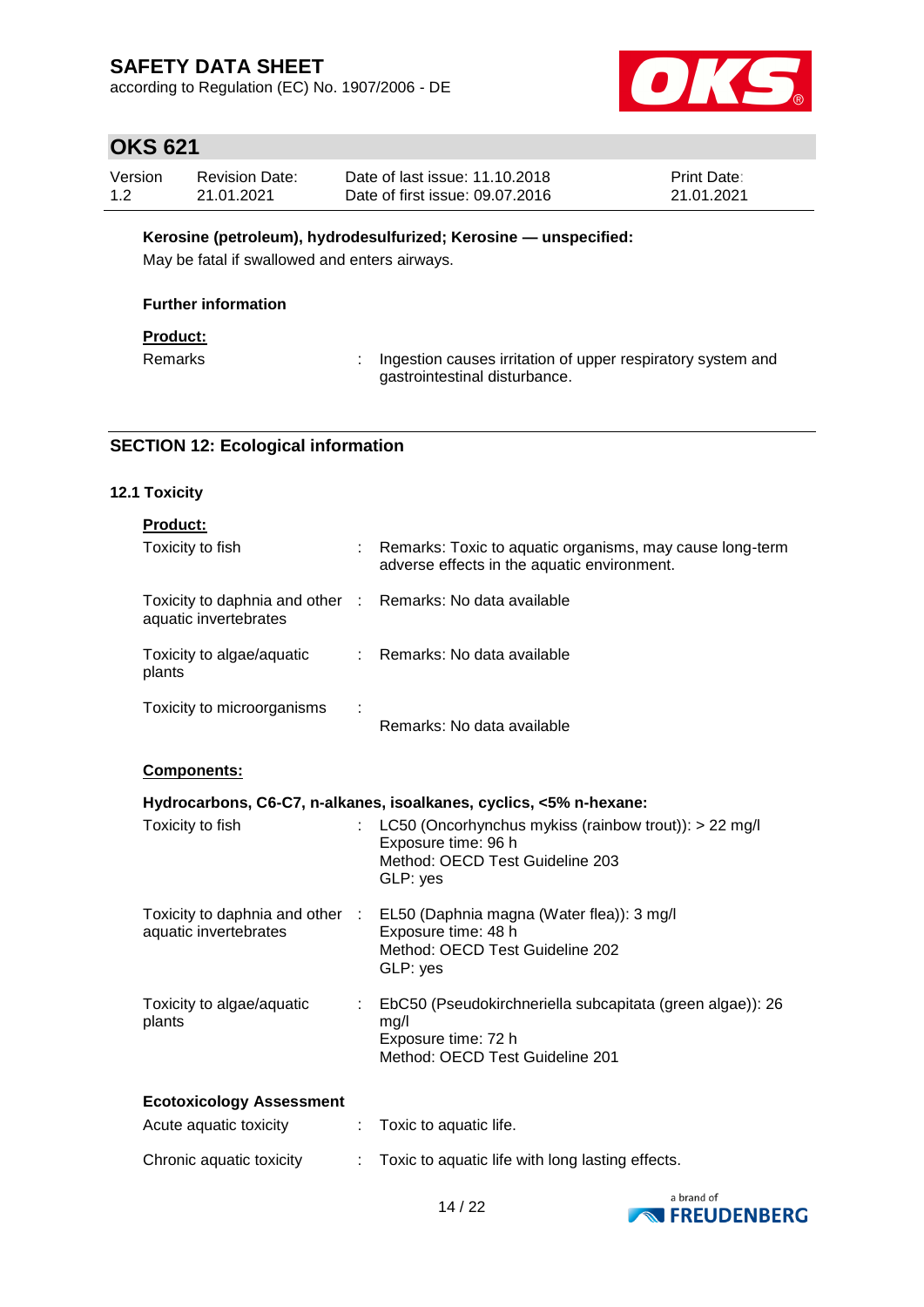according to Regulation (EC) No. 1907/2006 - DE



# **OKS 621**

| Version | <b>Revision Date:</b> | Date of last issue: 11.10.2018  | <b>Print Date:</b> |
|---------|-----------------------|---------------------------------|--------------------|
| 1.2     | 21.01.2021            | Date of first issue: 09.07.2016 | 21.01.2021         |

#### **Kerosine (petroleum), hydrodesulfurized; Kerosine — unspecified:**

May be fatal if swallowed and enters airways.

#### **Further information**

### **Product:**

Remarks : Ingestion causes irritation of upper respiratory system and gastrointestinal disturbance.

#### **SECTION 12: Ecological information**

### **12.1 Toxicity**

| <b>Product:</b>                                                                     |                                                                                                                                                 |
|-------------------------------------------------------------------------------------|-------------------------------------------------------------------------------------------------------------------------------------------------|
| Toxicity to fish                                                                    | : Remarks: Toxic to aquatic organisms, may cause long-term<br>adverse effects in the aquatic environment.                                       |
| Toxicity to daphnia and other : Remarks: No data available<br>aquatic invertebrates |                                                                                                                                                 |
| Toxicity to algae/aquatic<br>plants                                                 | : Remarks: No data available                                                                                                                    |
| Toxicity to microorganisms                                                          | Remarks: No data available                                                                                                                      |
| <b>Components:</b>                                                                  |                                                                                                                                                 |
|                                                                                     | Hydrocarbons, C6-C7, n-alkanes, isoalkanes, cyclics, <5% n-hexane:                                                                              |
| Toxicity to fish                                                                    | LC50 (Oncorhynchus mykiss (rainbow trout)): > 22 mg/l<br>Exposure time: 96 h<br>Method: OECD Test Guideline 203<br>GLP: yes                     |
| aquatic invertebrates                                                               | Toxicity to daphnia and other : EL50 (Daphnia magna (Water flea)): 3 mg/l<br>Exposure time: 48 h<br>Method: OECD Test Guideline 202<br>GLP: yes |
| Toxicity to algae/aquatic<br>plants                                                 | : EbC50 (Pseudokirchneriella subcapitata (green algae)): 26<br>mg/l<br>Exposure time: 72 h<br>Method: OECD Test Guideline 201                   |
| <b>Ecotoxicology Assessment</b>                                                     |                                                                                                                                                 |

| Acute aguatic toxicity   | $\therefore$ Toxic to aquatic life.              |
|--------------------------|--------------------------------------------------|
| Chronic aquatic toxicity | Toxic to aquatic life with long lasting effects. |

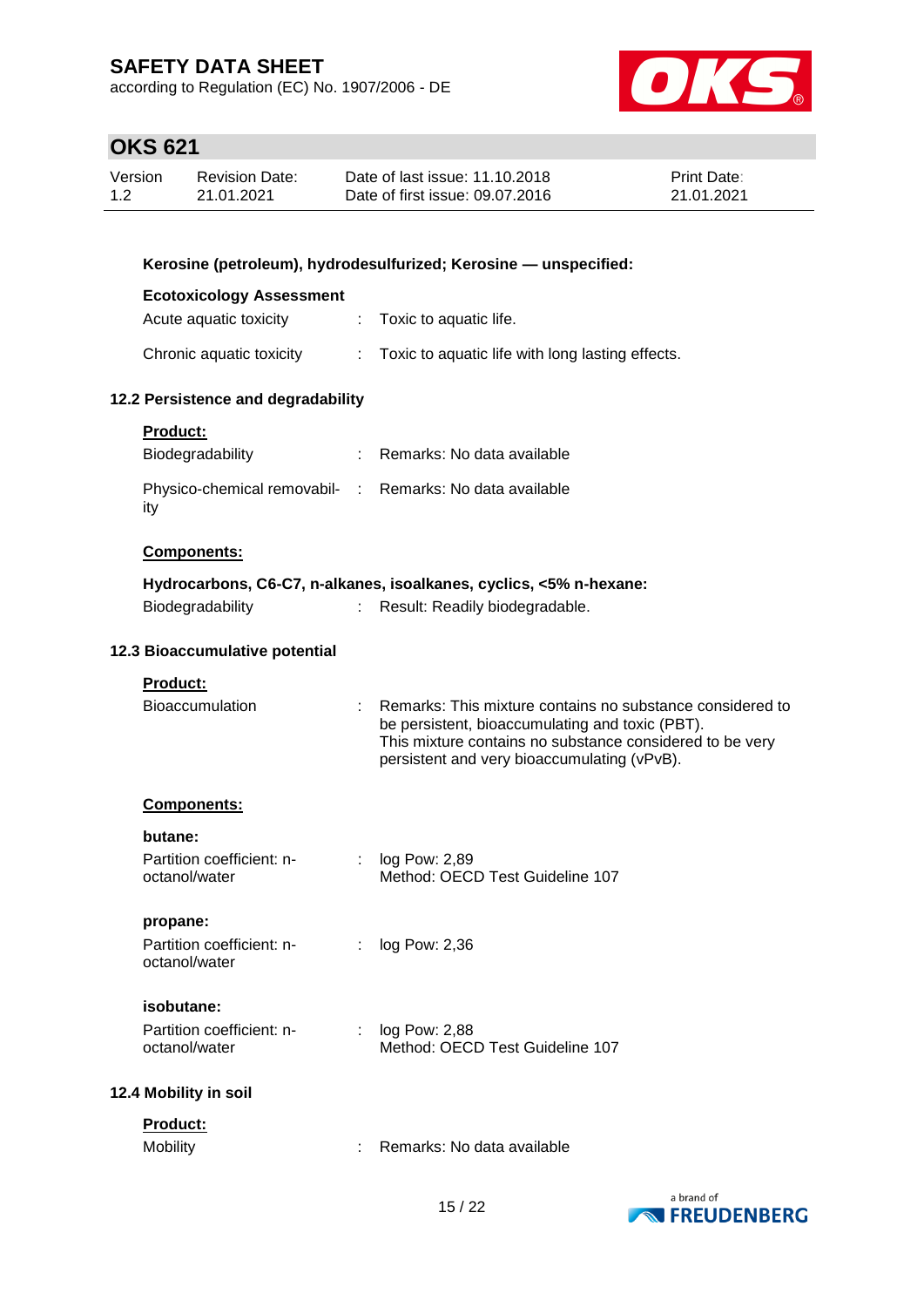according to Regulation (EC) No. 1907/2006 - DE



| Version | <b>Revision Date:</b> | Date of last issue: 11.10.2018  | <b>Print Date:</b> |
|---------|-----------------------|---------------------------------|--------------------|
| 1.2     | 21.01.2021            | Date of first issue: 09.07.2016 | 21.01.2021         |

| Kerosine (petroleum), hydrodesulfurized; Kerosine - unspecified: |               |                                                                                                                                                                                                                           |  |  |
|------------------------------------------------------------------|---------------|---------------------------------------------------------------------------------------------------------------------------------------------------------------------------------------------------------------------------|--|--|
| <b>Ecotoxicology Assessment</b>                                  |               |                                                                                                                                                                                                                           |  |  |
| Acute aquatic toxicity                                           | $\Delta \sim$ | Toxic to aquatic life.                                                                                                                                                                                                    |  |  |
| Chronic aquatic toxicity                                         |               | : Toxic to aquatic life with long lasting effects.                                                                                                                                                                        |  |  |
| 12.2 Persistence and degradability                               |               |                                                                                                                                                                                                                           |  |  |
| Product:                                                         |               |                                                                                                                                                                                                                           |  |  |
| Biodegradability                                                 |               | : Remarks: No data available                                                                                                                                                                                              |  |  |
| Physico-chemical removabil- : Remarks: No data available<br>ity  |               |                                                                                                                                                                                                                           |  |  |
| <b>Components:</b>                                               |               |                                                                                                                                                                                                                           |  |  |
|                                                                  |               | Hydrocarbons, C6-C7, n-alkanes, isoalkanes, cyclics, <5% n-hexane:                                                                                                                                                        |  |  |
| Biodegradability                                                 | t.            | Result: Readily biodegradable.                                                                                                                                                                                            |  |  |
| 12.3 Bioaccumulative potential                                   |               |                                                                                                                                                                                                                           |  |  |
| <b>Product:</b>                                                  |               |                                                                                                                                                                                                                           |  |  |
| Bioaccumulation                                                  |               | : Remarks: This mixture contains no substance considered to<br>be persistent, bioaccumulating and toxic (PBT).<br>This mixture contains no substance considered to be very<br>persistent and very bioaccumulating (vPvB). |  |  |
| Components:                                                      |               |                                                                                                                                                                                                                           |  |  |
| butane:                                                          |               |                                                                                                                                                                                                                           |  |  |
| Partition coefficient: n-<br>octanol/water                       |               | $:$ log Pow: 2,89<br>Method: OECD Test Guideline 107                                                                                                                                                                      |  |  |
| propane:                                                         |               |                                                                                                                                                                                                                           |  |  |
| Partition coefficient: n-<br>octanol/water                       |               | : log Pow: 2,36                                                                                                                                                                                                           |  |  |
| isobutane:                                                       |               |                                                                                                                                                                                                                           |  |  |
| Partition coefficient: n-<br>octanol/water                       |               | log Pow: 2,88<br>Method: OECD Test Guideline 107                                                                                                                                                                          |  |  |
| 12.4 Mobility in soil                                            |               |                                                                                                                                                                                                                           |  |  |
| Product:                                                         |               |                                                                                                                                                                                                                           |  |  |
| Mobility                                                         |               | Remarks: No data available                                                                                                                                                                                                |  |  |

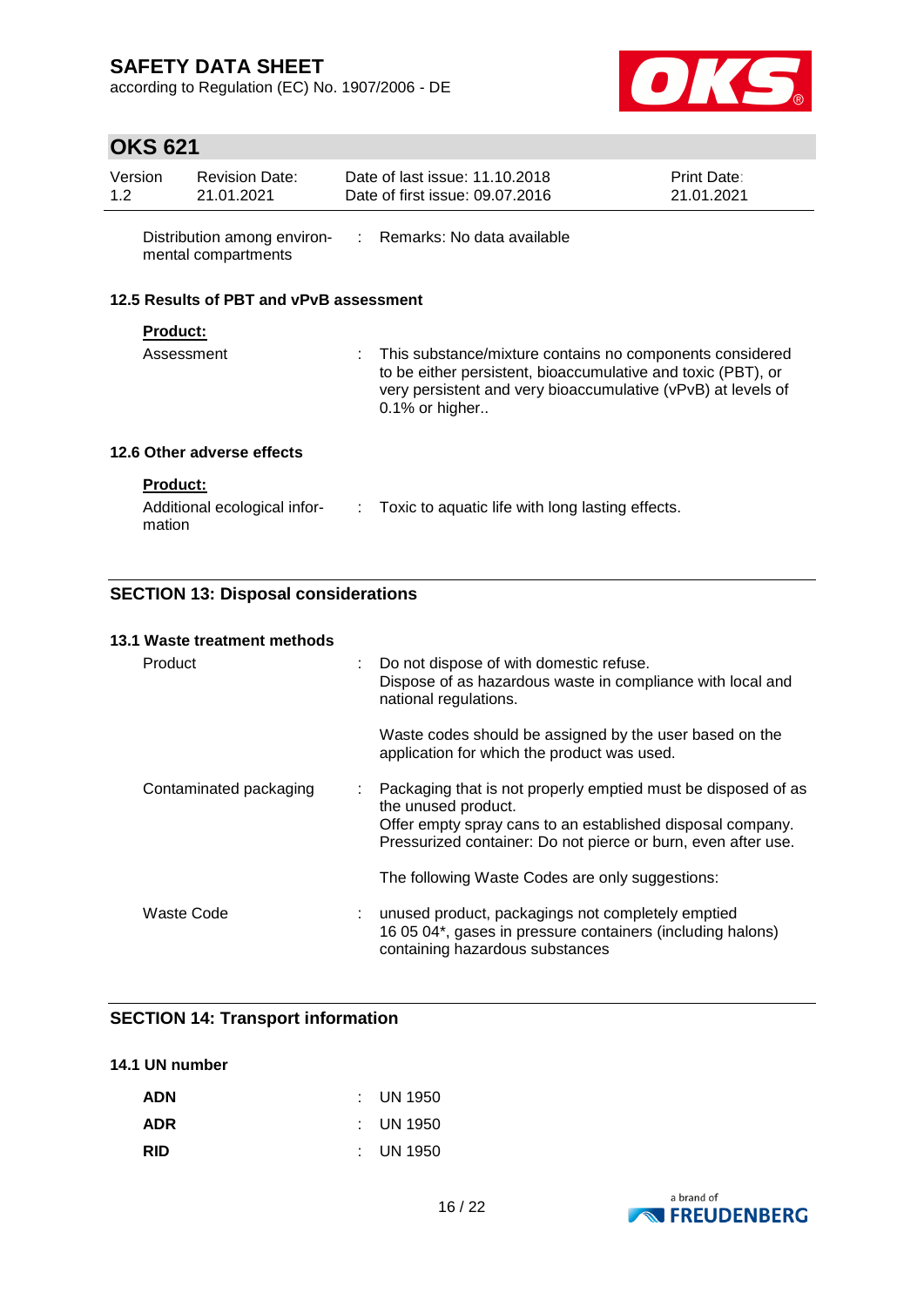according to Regulation (EC) No. 1907/2006 - DE



# **OKS 621**

| Version<br>1.2                          | <b>Revision Date:</b><br>21.01.2021 |  | Date of last issue: 11.10.2018<br>Date of first issue: 09.07.2016                                                                                                                                            | <b>Print Date:</b><br>21.01.2021 |  |  |
|-----------------------------------------|-------------------------------------|--|--------------------------------------------------------------------------------------------------------------------------------------------------------------------------------------------------------------|----------------------------------|--|--|
|                                         | mental compartments                 |  | Distribution among environ- : Remarks: No data available                                                                                                                                                     |                                  |  |  |
| 12.5 Results of PBT and vPvB assessment |                                     |  |                                                                                                                                                                                                              |                                  |  |  |
|                                         | <b>Product:</b>                     |  |                                                                                                                                                                                                              |                                  |  |  |
|                                         | Assessment                          |  | : This substance/mixture contains no components considered<br>to be either persistent, bioaccumulative and toxic (PBT), or<br>very persistent and very bioaccumulative (vPvB) at levels of<br>0.1% or higher |                                  |  |  |
|                                         | 12.6 Other adverse effects          |  |                                                                                                                                                                                                              |                                  |  |  |
|                                         | <b>Product:</b>                     |  |                                                                                                                                                                                                              |                                  |  |  |
|                                         | Additional ecological infor-        |  | $\therefore$ Toxic to aquatic life with long lasting effects.                                                                                                                                                |                                  |  |  |

## **SECTION 13: Disposal considerations**

#### **13.1 Waste treatment methods**

mation

| Product                | : Do not dispose of with domestic refuse.<br>Dispose of as hazardous waste in compliance with local and<br>national regulations.                                                                                      |
|------------------------|-----------------------------------------------------------------------------------------------------------------------------------------------------------------------------------------------------------------------|
|                        | Waste codes should be assigned by the user based on the<br>application for which the product was used.                                                                                                                |
| Contaminated packaging | : Packaging that is not properly emptied must be disposed of as<br>the unused product.<br>Offer empty spray cans to an established disposal company.<br>Pressurized container: Do not pierce or burn, even after use. |
|                        | The following Waste Codes are only suggestions:                                                                                                                                                                       |
| Waste Code             | unused product, packagings not completely emptied<br>16 05 04*, gases in pressure containers (including halons)<br>containing hazardous substances                                                                    |

### **SECTION 14: Transport information**

#### **14.1 UN number**

| <b>ADN</b> | $\therefore$ UN 1950 |
|------------|----------------------|
| <b>ADR</b> | $\therefore$ UN 1950 |
| <b>RID</b> | $:$ UN 1950          |

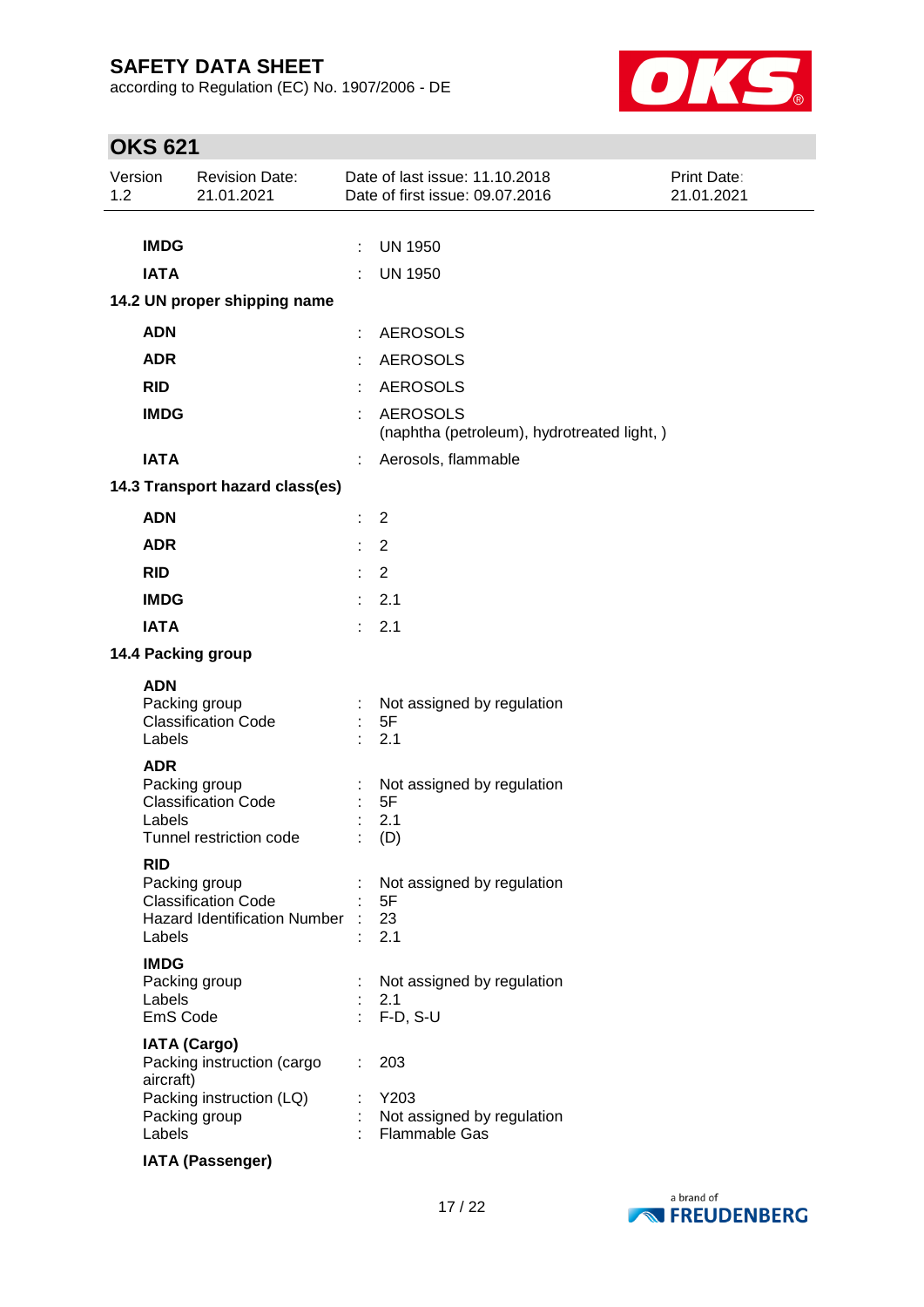according to Regulation (EC) No. 1907/2006 - DE



| Version<br>1.2 |                                   | <b>Revision Date:</b><br>21.01.2021                                                            |        | Date of last issue: 11.10.2018<br>Date of first issue: 09.07.2016 | Print Date:<br>21.01.2021 |
|----------------|-----------------------------------|------------------------------------------------------------------------------------------------|--------|-------------------------------------------------------------------|---------------------------|
|                | <b>IMDG</b><br><b>IATA</b>        |                                                                                                | ÷<br>÷ | <b>UN 1950</b><br><b>UN 1950</b>                                  |                           |
|                |                                   | 14.2 UN proper shipping name                                                                   |        |                                                                   |                           |
|                | <b>ADN</b>                        |                                                                                                |        | <b>AEROSOLS</b>                                                   |                           |
|                | <b>ADR</b>                        |                                                                                                |        | <b>AEROSOLS</b>                                                   |                           |
|                | <b>RID</b>                        |                                                                                                |        | <b>AEROSOLS</b>                                                   |                           |
|                | <b>IMDG</b>                       |                                                                                                |        | <b>AEROSOLS</b><br>(naphtha (petroleum), hydrotreated light, )    |                           |
|                | <b>IATA</b>                       |                                                                                                |        | Aerosols, flammable                                               |                           |
|                |                                   | 14.3 Transport hazard class(es)                                                                |        |                                                                   |                           |
|                | <b>ADN</b>                        |                                                                                                | ÷      | $\overline{2}$                                                    |                           |
|                | <b>ADR</b>                        |                                                                                                |        | $\overline{2}$                                                    |                           |
|                | <b>RID</b>                        |                                                                                                | ÷.     | 2                                                                 |                           |
|                | <b>IMDG</b>                       |                                                                                                | ÷      | 2.1                                                               |                           |
|                | <b>IATA</b>                       |                                                                                                | ÷      | 2.1                                                               |                           |
|                |                                   | 14.4 Packing group                                                                             |        |                                                                   |                           |
|                | <b>ADN</b><br>Labels              | Packing group<br><b>Classification Code</b>                                                    |        | Not assigned by regulation<br>5F<br>2.1                           |                           |
|                | <b>ADR</b><br>Labels              | Packing group<br><b>Classification Code</b><br>Tunnel restriction code                         |        | Not assigned by regulation<br>5F<br>2.1<br>(D)                    |                           |
|                | <b>RID</b><br>Labels              | Packing group<br><b>Classification Code</b><br><b>Hazard Identification Number</b>             |        | Not assigned by regulation<br>5F<br>23<br>2.1                     |                           |
|                | <b>IMDG</b><br>Labels<br>EmS Code | Packing group                                                                                  |        | Not assigned by regulation<br>2.1<br>F-D, S-U                     |                           |
|                | aircraft)<br>Labels               | <b>IATA (Cargo)</b><br>Packing instruction (cargo<br>Packing instruction (LQ)<br>Packing group |        | 203<br>Y203<br>Not assigned by regulation<br><b>Flammable Gas</b> |                           |
|                |                                   | <b>IATA (Passenger)</b>                                                                        |        |                                                                   |                           |

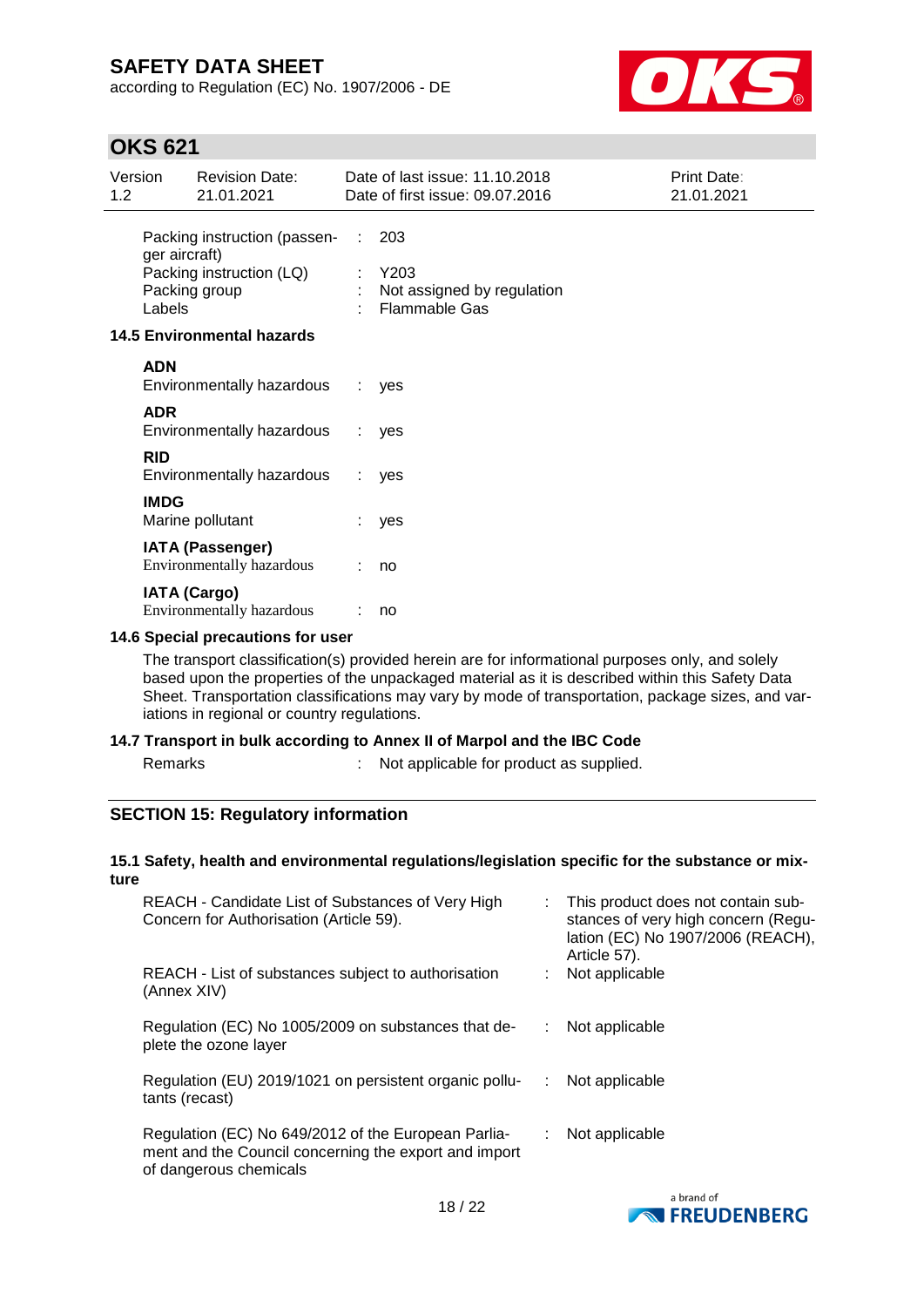according to Regulation (EC) No. 1907/2006 - DE



## **OKS 621**

| Version<br>1.2 |                         | <b>Revision Date:</b><br>21.01.2021                                       |          | Date of last issue: 11.10.2018<br>Date of first issue: 09.07.2016   | Print Date:<br>21.01.2021 |
|----------------|-------------------------|---------------------------------------------------------------------------|----------|---------------------------------------------------------------------|---------------------------|
|                | ger aircraft)<br>Labels | Packing instruction (passen-<br>Packing instruction (LQ)<br>Packing group | ÷.<br>÷. | 203<br>Y203<br>: Not assigned by regulation<br><b>Flammable Gas</b> |                           |
|                |                         | <b>14.5 Environmental hazards</b>                                         |          |                                                                     |                           |
|                | <b>ADN</b>              | Environmentally hazardous                                                 |          | yes                                                                 |                           |
|                | <b>ADR</b>              | Environmentally hazardous                                                 | ÷.       | yes                                                                 |                           |
|                | <b>RID</b>              | Environmentally hazardous                                                 | ÷.       | yes                                                                 |                           |
|                | <b>IMDG</b>             | Marine pollutant                                                          |          | yes                                                                 |                           |
|                |                         | <b>IATA (Passenger)</b><br>Environmentally hazardous                      |          | no                                                                  |                           |
|                |                         | <b>IATA (Cargo)</b><br>Environmentally hazardous                          |          | no                                                                  |                           |

#### **14.6 Special precautions for user**

The transport classification(s) provided herein are for informational purposes only, and solely based upon the properties of the unpackaged material as it is described within this Safety Data Sheet. Transportation classifications may vary by mode of transportation, package sizes, and variations in regional or country regulations.

#### **14.7 Transport in bulk according to Annex II of Marpol and the IBC Code**

Remarks : Not applicable for product as supplied.

### **SECTION 15: Regulatory information**

#### **15.1 Safety, health and environmental regulations/legislation specific for the substance or mixture**

| REACH - Candidate List of Substances of Very High<br>Concern for Authorisation (Article 59).                                           |    | : This product does not contain sub-<br>stances of very high concern (Regu-<br>lation (EC) No 1907/2006 (REACH),<br>Article 57). |
|----------------------------------------------------------------------------------------------------------------------------------------|----|----------------------------------------------------------------------------------------------------------------------------------|
| REACH - List of substances subject to authorisation<br>(Annex XIV)                                                                     |    | Not applicable                                                                                                                   |
| Regulation (EC) No 1005/2009 on substances that de-<br>plete the ozone layer                                                           |    | Not applicable                                                                                                                   |
| Regulation (EU) 2019/1021 on persistent organic pollu-<br>tants (recast)                                                               | ÷. | Not applicable                                                                                                                   |
| Regulation (EC) No 649/2012 of the European Parlia-<br>ment and the Council concerning the export and import<br>of dangerous chemicals |    | Not applicable                                                                                                                   |

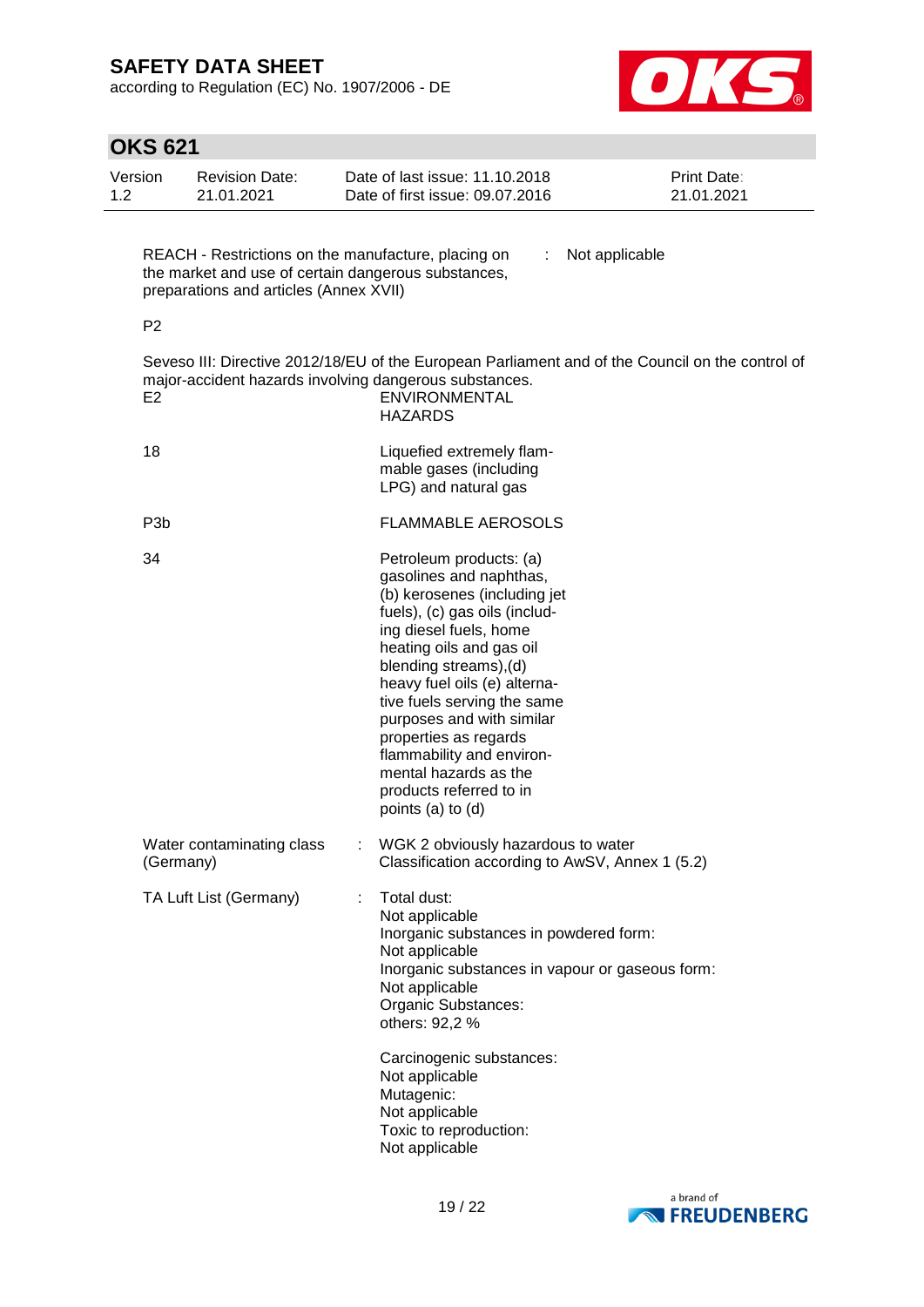according to Regulation (EC) No. 1907/2006 - DE



|                             | OKS 621          |                                                                                                                                                      |   |                                                                                                                                                                                                                                                                                                                                                                                                                                |                                  |
|-----------------------------|------------------|------------------------------------------------------------------------------------------------------------------------------------------------------|---|--------------------------------------------------------------------------------------------------------------------------------------------------------------------------------------------------------------------------------------------------------------------------------------------------------------------------------------------------------------------------------------------------------------------------------|----------------------------------|
| Version<br>1.2 <sub>1</sub> |                  | <b>Revision Date:</b><br>21.01.2021                                                                                                                  |   | Date of last issue: 11.10.2018<br>Date of first issue: 09.07.2016                                                                                                                                                                                                                                                                                                                                                              | <b>Print Date:</b><br>21.01.2021 |
|                             |                  | REACH - Restrictions on the manufacture, placing on<br>the market and use of certain dangerous substances,<br>preparations and articles (Annex XVII) |   | Not applicable<br>÷                                                                                                                                                                                                                                                                                                                                                                                                            |                                  |
|                             | P <sub>2</sub>   |                                                                                                                                                      |   |                                                                                                                                                                                                                                                                                                                                                                                                                                |                                  |
|                             | E <sub>2</sub>   |                                                                                                                                                      |   | Seveso III: Directive 2012/18/EU of the European Parliament and of the Council on the control of<br>major-accident hazards involving dangerous substances.<br><b>ENVIRONMENTAL</b><br><b>HAZARDS</b>                                                                                                                                                                                                                           |                                  |
|                             | 18               |                                                                                                                                                      |   | Liquefied extremely flam-<br>mable gases (including<br>LPG) and natural gas                                                                                                                                                                                                                                                                                                                                                    |                                  |
|                             | P <sub>3</sub> b |                                                                                                                                                      |   | <b>FLAMMABLE AEROSOLS</b>                                                                                                                                                                                                                                                                                                                                                                                                      |                                  |
|                             | 34               |                                                                                                                                                      |   | Petroleum products: (a)<br>gasolines and naphthas,<br>(b) kerosenes (including jet<br>fuels), (c) gas oils (includ-<br>ing diesel fuels, home<br>heating oils and gas oil<br>blending streams), (d)<br>heavy fuel oils (e) alterna-<br>tive fuels serving the same<br>purposes and with similar<br>properties as regards<br>flammability and environ-<br>mental hazards as the<br>products referred to in<br>points (a) to (d) |                                  |
|                             | (Germany)        | Water contaminating class                                                                                                                            |   | WGK 2 obviously hazardous to water<br>Classification according to AwSV, Annex 1 (5.2)                                                                                                                                                                                                                                                                                                                                          |                                  |
|                             |                  | TA Luft List (Germany)                                                                                                                               | ÷ | Total dust:<br>Not applicable<br>Inorganic substances in powdered form:<br>Not applicable<br>Inorganic substances in vapour or gaseous form:<br>Not applicable<br>Organic Substances:<br>others: 92,2 %<br>Carcinogenic substances:<br>Not applicable<br>Mutagenic:                                                                                                                                                            |                                  |
|                             |                  |                                                                                                                                                      |   | Not applicable<br>Toxic to reproduction:<br>Not applicable                                                                                                                                                                                                                                                                                                                                                                     |                                  |

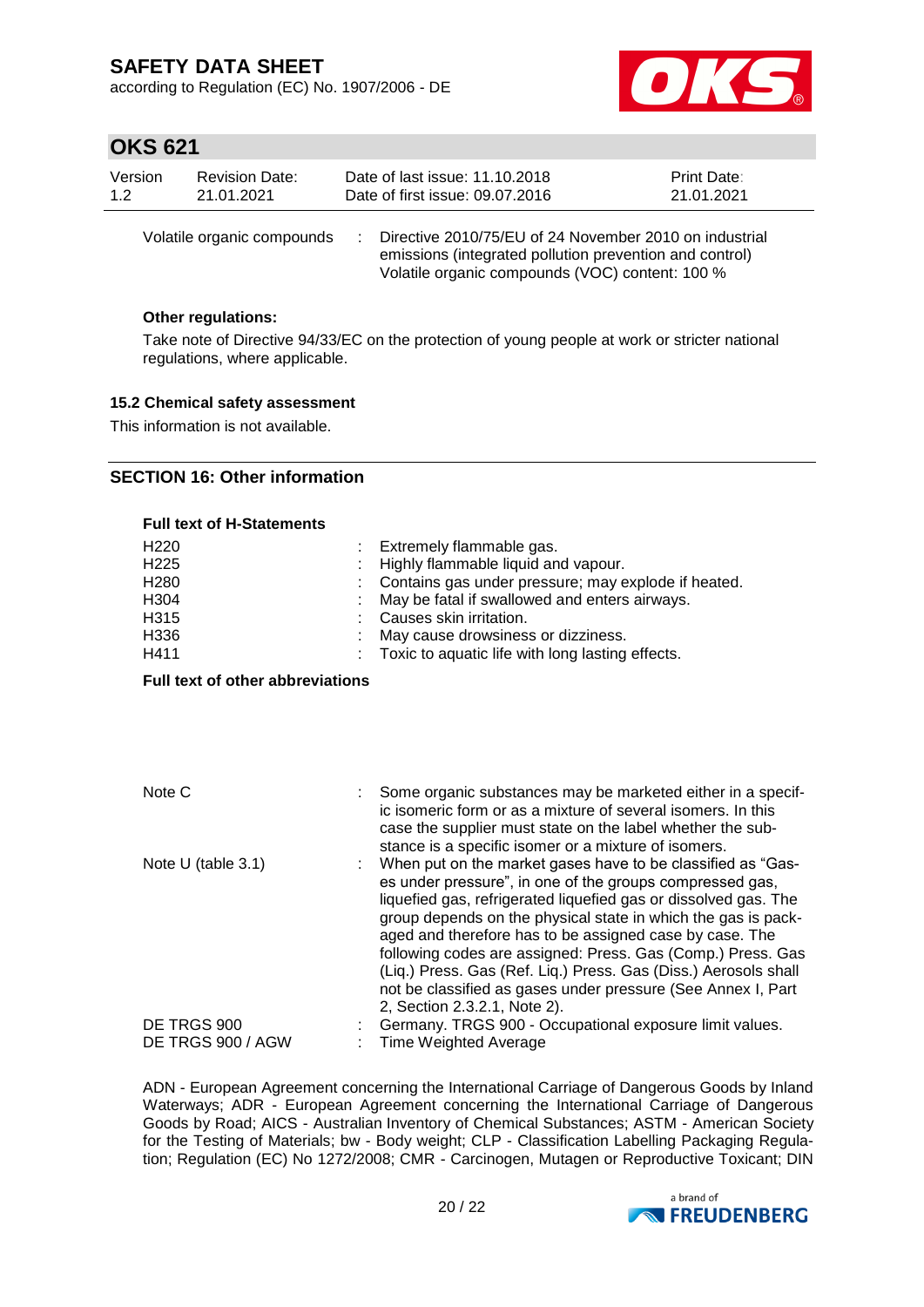according to Regulation (EC) No. 1907/2006 - DE



## **OKS 621**

| Version | <b>Revision Date:</b>      | Date of last issue: 11.10.2018                                                                                                                                         | <b>Print Date:</b> |
|---------|----------------------------|------------------------------------------------------------------------------------------------------------------------------------------------------------------------|--------------------|
| 1.2     | 21.01.2021                 | Date of first issue: 09.07.2016                                                                                                                                        | 21.01.2021         |
|         | Volatile organic compounds | : Directive 2010/75/EU of 24 November 2010 on industrial<br>emissions (integrated pollution prevention and control)<br>Volatile organic compounds (VOC) content: 100 % |                    |

#### **Other regulations:**

Take note of Directive 94/33/EC on the protection of young people at work or stricter national regulations, where applicable.

#### **15.2 Chemical safety assessment**

This information is not available.

### **SECTION 16: Other information**

#### **Full text of H-Statements** H220 : Extremely flammable gas. H225 : Highly flammable liquid and vapour. H280 : Contains gas under pressure; may explode if heated. H304 : May be fatal if swallowed and enters airways. H315 : Causes skin irritation. H336 : May cause drowsiness or dizziness. H411 : Toxic to aquatic life with long lasting effects.

**Full text of other abbreviations**

| Note C                | Some organic substances may be marketed either in a specif-<br>ic isomeric form or as a mixture of several isomers. In this<br>case the supplier must state on the label whether the sub-<br>stance is a specific isomer or a mixture of isomers.                                                                                                                                                                                                                                                                                                        |
|-----------------------|----------------------------------------------------------------------------------------------------------------------------------------------------------------------------------------------------------------------------------------------------------------------------------------------------------------------------------------------------------------------------------------------------------------------------------------------------------------------------------------------------------------------------------------------------------|
| Note U (table $3.1$ ) | When put on the market gases have to be classified as "Gas-<br>es under pressure", in one of the groups compressed gas,<br>liquefied gas, refrigerated liquefied gas or dissolved gas. The<br>group depends on the physical state in which the gas is pack-<br>aged and therefore has to be assigned case by case. The<br>following codes are assigned: Press. Gas (Comp.) Press. Gas<br>(Liq.) Press. Gas (Ref. Liq.) Press. Gas (Diss.) Aerosols shall<br>not be classified as gases under pressure (See Annex I, Part<br>2, Section 2.3.2.1, Note 2). |
| DE TRGS 900           | Germany. TRGS 900 - Occupational exposure limit values.                                                                                                                                                                                                                                                                                                                                                                                                                                                                                                  |
| DE TRGS 900 / AGW     | <b>Time Weighted Average</b>                                                                                                                                                                                                                                                                                                                                                                                                                                                                                                                             |

ADN - European Agreement concerning the International Carriage of Dangerous Goods by Inland Waterways; ADR - European Agreement concerning the International Carriage of Dangerous Goods by Road; AICS - Australian Inventory of Chemical Substances; ASTM - American Society for the Testing of Materials; bw - Body weight; CLP - Classification Labelling Packaging Regulation; Regulation (EC) No 1272/2008; CMR - Carcinogen, Mutagen or Reproductive Toxicant; DIN

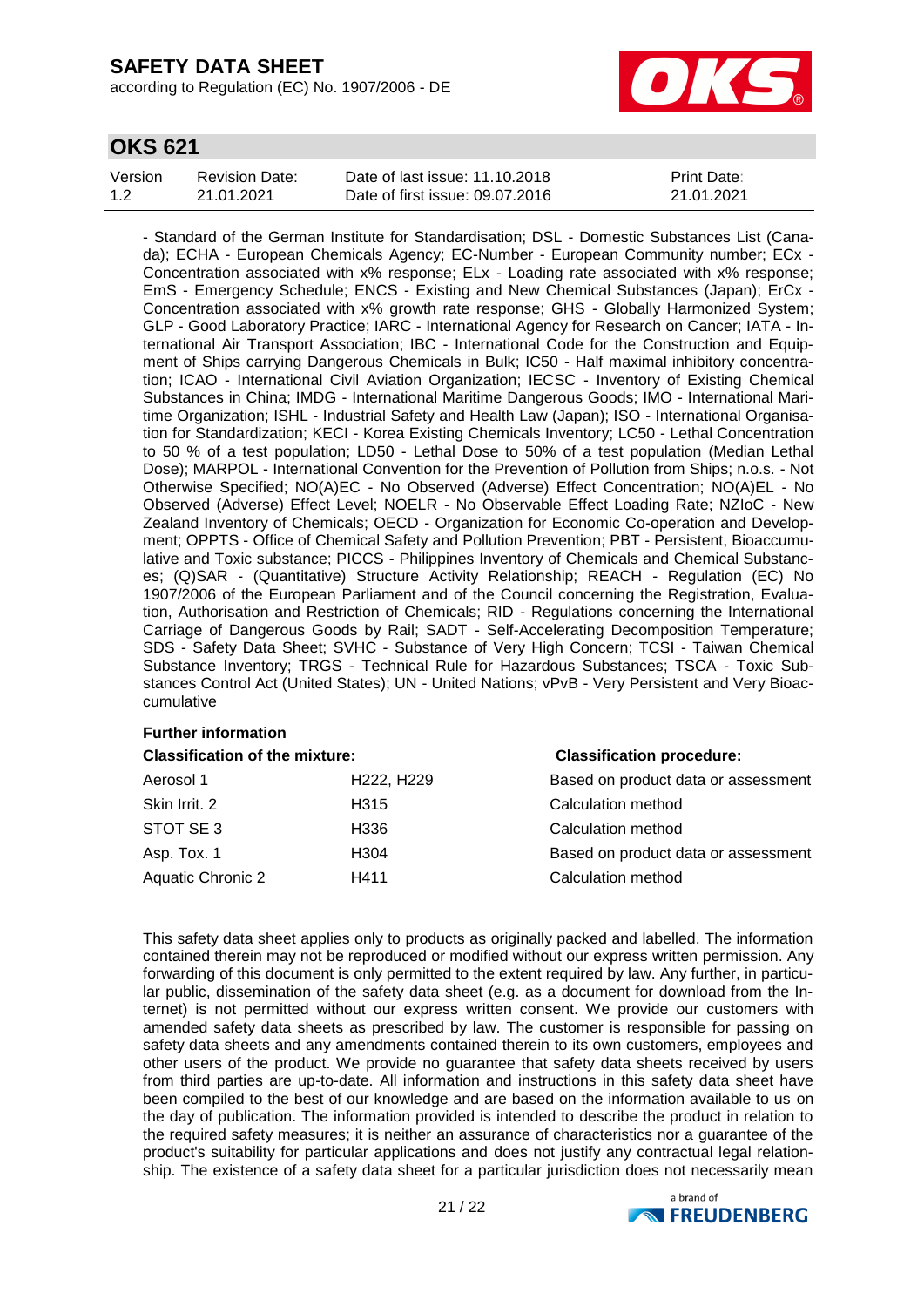according to Regulation (EC) No. 1907/2006 - DE



## **OKS 621**

| Version | <b>Revision Date:</b> | Date of last issue: 11.10.2018  | <b>Print Date:</b> |
|---------|-----------------------|---------------------------------|--------------------|
| 1.2     | 21.01.2021            | Date of first issue: 09.07.2016 | 21.01.2021         |

- Standard of the German Institute for Standardisation; DSL - Domestic Substances List (Canada); ECHA - European Chemicals Agency; EC-Number - European Community number; ECx - Concentration associated with x% response; ELx - Loading rate associated with x% response; EmS - Emergency Schedule; ENCS - Existing and New Chemical Substances (Japan); ErCx - Concentration associated with x% growth rate response; GHS - Globally Harmonized System; GLP - Good Laboratory Practice; IARC - International Agency for Research on Cancer; IATA - International Air Transport Association; IBC - International Code for the Construction and Equipment of Ships carrying Dangerous Chemicals in Bulk; IC50 - Half maximal inhibitory concentration; ICAO - International Civil Aviation Organization; IECSC - Inventory of Existing Chemical Substances in China; IMDG - International Maritime Dangerous Goods; IMO - International Maritime Organization; ISHL - Industrial Safety and Health Law (Japan); ISO - International Organisation for Standardization; KECI - Korea Existing Chemicals Inventory; LC50 - Lethal Concentration to 50 % of a test population; LD50 - Lethal Dose to 50% of a test population (Median Lethal Dose); MARPOL - International Convention for the Prevention of Pollution from Ships; n.o.s. - Not Otherwise Specified; NO(A)EC - No Observed (Adverse) Effect Concentration; NO(A)EL - No Observed (Adverse) Effect Level; NOELR - No Observable Effect Loading Rate; NZIoC - New Zealand Inventory of Chemicals; OECD - Organization for Economic Co-operation and Development; OPPTS - Office of Chemical Safety and Pollution Prevention; PBT - Persistent, Bioaccumulative and Toxic substance; PICCS - Philippines Inventory of Chemicals and Chemical Substances; (Q)SAR - (Quantitative) Structure Activity Relationship; REACH - Regulation (EC) No 1907/2006 of the European Parliament and of the Council concerning the Registration, Evaluation, Authorisation and Restriction of Chemicals; RID - Regulations concerning the International Carriage of Dangerous Goods by Rail; SADT - Self-Accelerating Decomposition Temperature; SDS - Safety Data Sheet; SVHC - Substance of Very High Concern; TCSI - Taiwan Chemical Substance Inventory; TRGS - Technical Rule for Hazardous Substances; TSCA - Toxic Substances Control Act (United States); UN - United Nations; vPvB - Very Persistent and Very Bioaccumulative

#### **Further information**

| <b>Classification of the mixture:</b> |                                     | <b>Classification procedure:</b>    |  |
|---------------------------------------|-------------------------------------|-------------------------------------|--|
| Aerosol 1                             | H <sub>222</sub> , H <sub>229</sub> | Based on product data or assessment |  |
| Skin Irrit. 2                         | H <sub>315</sub>                    | Calculation method                  |  |
| STOT SE 3                             | H336                                | Calculation method                  |  |
| Asp. Tox. 1                           | H304                                | Based on product data or assessment |  |
| Aquatic Chronic 2                     | H411                                | Calculation method                  |  |

This safety data sheet applies only to products as originally packed and labelled. The information contained therein may not be reproduced or modified without our express written permission. Any forwarding of this document is only permitted to the extent required by law. Any further, in particular public, dissemination of the safety data sheet (e.g. as a document for download from the Internet) is not permitted without our express written consent. We provide our customers with amended safety data sheets as prescribed by law. The customer is responsible for passing on safety data sheets and any amendments contained therein to its own customers, employees and other users of the product. We provide no guarantee that safety data sheets received by users from third parties are up-to-date. All information and instructions in this safety data sheet have been compiled to the best of our knowledge and are based on the information available to us on the day of publication. The information provided is intended to describe the product in relation to the required safety measures; it is neither an assurance of characteristics nor a guarantee of the product's suitability for particular applications and does not justify any contractual legal relationship. The existence of a safety data sheet for a particular jurisdiction does not necessarily mean